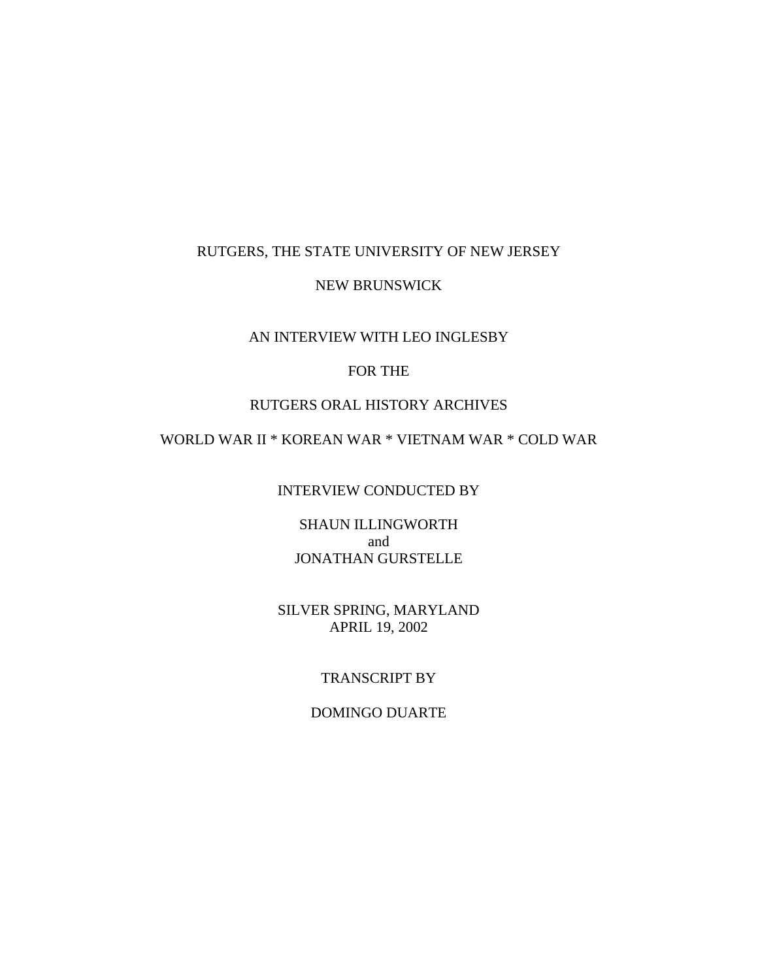### RUTGERS, THE STATE UNIVERSITY OF NEW JERSEY

#### NEW BRUNSWICK

### AN INTERVIEW WITH LEO INGLESBY

# FOR THE

## RUTGERS ORAL HISTORY ARCHIVES

# WORLD WAR II \* KOREAN WAR \* VIETNAM WAR \* COLD WAR

INTERVIEW CONDUCTED BY

SHAUN ILLINGWORTH and JONATHAN GURSTELLE

SILVER SPRING, MARYLAND APRIL 19, 2002

# TRANSCRIPT BY

### DOMINGO DUARTE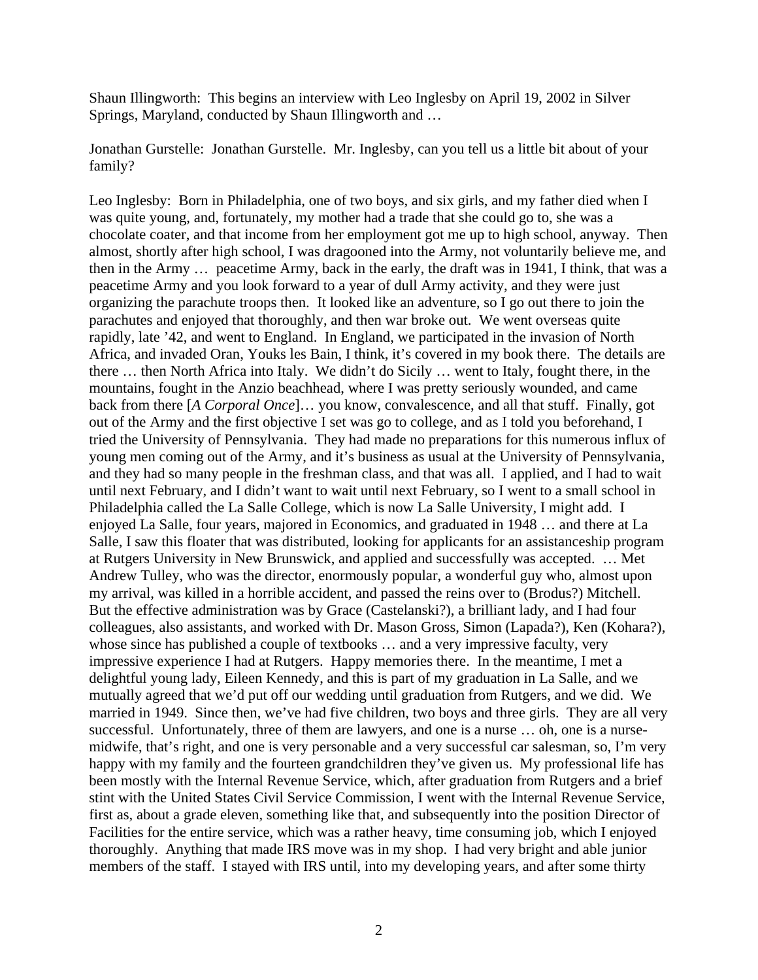Shaun Illingworth: This begins an interview with Leo Inglesby on April 19, 2002 in Silver Springs, Maryland, conducted by Shaun Illingworth and …

Jonathan Gurstelle: Jonathan Gurstelle. Mr. Inglesby, can you tell us a little bit about of your family?

Leo Inglesby: Born in Philadelphia, one of two boys, and six girls, and my father died when I was quite young, and, fortunately, my mother had a trade that she could go to, she was a chocolate coater, and that income from her employment got me up to high school, anyway. Then almost, shortly after high school, I was dragooned into the Army, not voluntarily believe me, and then in the Army … peacetime Army, back in the early, the draft was in 1941, I think, that was a peacetime Army and you look forward to a year of dull Army activity, and they were just organizing the parachute troops then. It looked like an adventure, so I go out there to join the parachutes and enjoyed that thoroughly, and then war broke out. We went overseas quite rapidly, late '42, and went to England. In England, we participated in the invasion of North Africa, and invaded Oran, Youks les Bain, I think, it's covered in my book there. The details are there … then North Africa into Italy. We didn't do Sicily … went to Italy, fought there, in the mountains, fought in the Anzio beachhead, where I was pretty seriously wounded, and came back from there [*A Corporal Once*]… you know, convalescence, and all that stuff. Finally, got out of the Army and the first objective I set was go to college, and as I told you beforehand, I tried the University of Pennsylvania. They had made no preparations for this numerous influx of young men coming out of the Army, and it's business as usual at the University of Pennsylvania, and they had so many people in the freshman class, and that was all. I applied, and I had to wait until next February, and I didn't want to wait until next February, so I went to a small school in Philadelphia called the La Salle College, which is now La Salle University, I might add. I enjoyed La Salle, four years, majored in Economics, and graduated in 1948 … and there at La Salle, I saw this floater that was distributed, looking for applicants for an assistanceship program at Rutgers University in New Brunswick, and applied and successfully was accepted. … Met Andrew Tulley, who was the director, enormously popular, a wonderful guy who, almost upon my arrival, was killed in a horrible accident, and passed the reins over to (Brodus?) Mitchell. But the effective administration was by Grace (Castelanski?), a brilliant lady, and I had four colleagues, also assistants, and worked with Dr. Mason Gross, Simon (Lapada?), Ken (Kohara?), whose since has published a couple of textbooks … and a very impressive faculty, very impressive experience I had at Rutgers. Happy memories there. In the meantime, I met a delightful young lady, Eileen Kennedy, and this is part of my graduation in La Salle, and we mutually agreed that we'd put off our wedding until graduation from Rutgers, and we did. We married in 1949. Since then, we've had five children, two boys and three girls. They are all very successful. Unfortunately, three of them are lawyers, and one is a nurse … oh, one is a nursemidwife, that's right, and one is very personable and a very successful car salesman, so, I'm very happy with my family and the fourteen grandchildren they've given us. My professional life has been mostly with the Internal Revenue Service, which, after graduation from Rutgers and a brief stint with the United States Civil Service Commission, I went with the Internal Revenue Service, first as, about a grade eleven, something like that, and subsequently into the position Director of Facilities for the entire service, which was a rather heavy, time consuming job, which I enjoyed thoroughly. Anything that made IRS move was in my shop. I had very bright and able junior members of the staff. I stayed with IRS until, into my developing years, and after some thirty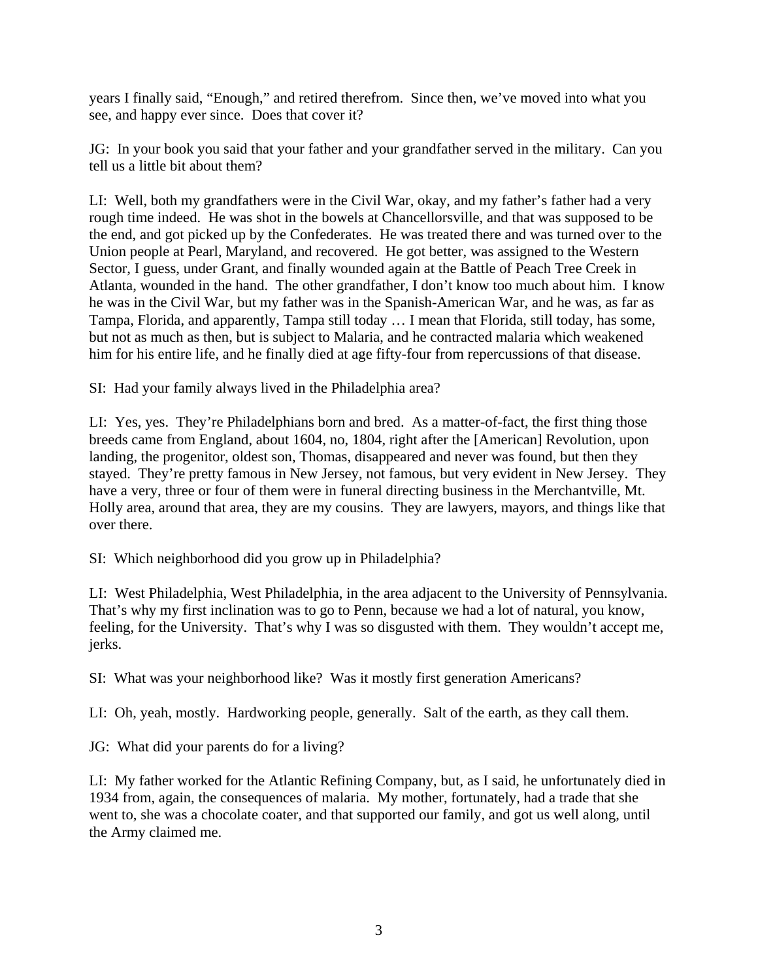years I finally said, "Enough," and retired therefrom. Since then, we've moved into what you see, and happy ever since. Does that cover it?

JG: In your book you said that your father and your grandfather served in the military. Can you tell us a little bit about them?

LI: Well, both my grandfathers were in the Civil War, okay, and my father's father had a very rough time indeed. He was shot in the bowels at Chancellorsville, and that was supposed to be the end, and got picked up by the Confederates. He was treated there and was turned over to the Union people at Pearl, Maryland, and recovered. He got better, was assigned to the Western Sector, I guess, under Grant, and finally wounded again at the Battle of Peach Tree Creek in Atlanta, wounded in the hand. The other grandfather, I don't know too much about him. I know he was in the Civil War, but my father was in the Spanish-American War, and he was, as far as Tampa, Florida, and apparently, Tampa still today … I mean that Florida, still today, has some, but not as much as then, but is subject to Malaria, and he contracted malaria which weakened him for his entire life, and he finally died at age fifty-four from repercussions of that disease.

SI: Had your family always lived in the Philadelphia area?

LI: Yes, yes. They're Philadelphians born and bred. As a matter-of-fact, the first thing those breeds came from England, about 1604, no, 1804, right after the [American] Revolution, upon landing, the progenitor, oldest son, Thomas, disappeared and never was found, but then they stayed. They're pretty famous in New Jersey, not famous, but very evident in New Jersey. They have a very, three or four of them were in funeral directing business in the Merchantville, Mt. Holly area, around that area, they are my cousins. They are lawyers, mayors, and things like that over there.

SI: Which neighborhood did you grow up in Philadelphia?

LI: West Philadelphia, West Philadelphia, in the area adjacent to the University of Pennsylvania. That's why my first inclination was to go to Penn, because we had a lot of natural, you know, feeling, for the University. That's why I was so disgusted with them. They wouldn't accept me, jerks.

SI: What was your neighborhood like? Was it mostly first generation Americans?

LI: Oh, yeah, mostly. Hardworking people, generally. Salt of the earth, as they call them.

JG: What did your parents do for a living?

LI: My father worked for the Atlantic Refining Company, but, as I said, he unfortunately died in 1934 from, again, the consequences of malaria. My mother, fortunately, had a trade that she went to, she was a chocolate coater, and that supported our family, and got us well along, until the Army claimed me.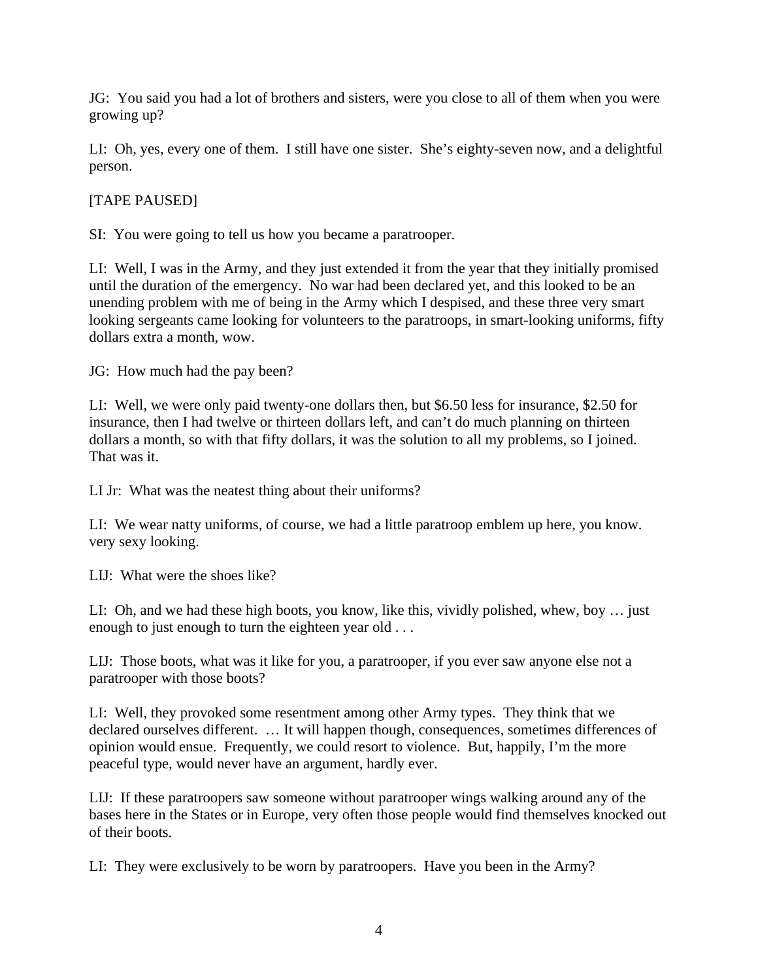JG: You said you had a lot of brothers and sisters, were you close to all of them when you were growing up?

LI: Oh, yes, every one of them. I still have one sister. She's eighty-seven now, and a delightful person.

[TAPE PAUSED]

SI: You were going to tell us how you became a paratrooper.

LI: Well, I was in the Army, and they just extended it from the year that they initially promised until the duration of the emergency. No war had been declared yet, and this looked to be an unending problem with me of being in the Army which I despised, and these three very smart looking sergeants came looking for volunteers to the paratroops, in smart-looking uniforms, fifty dollars extra a month, wow.

JG: How much had the pay been?

LI: Well, we were only paid twenty-one dollars then, but \$6.50 less for insurance, \$2.50 for insurance, then I had twelve or thirteen dollars left, and can't do much planning on thirteen dollars a month, so with that fifty dollars, it was the solution to all my problems, so I joined. That was it.

LI Jr: What was the neatest thing about their uniforms?

LI: We wear natty uniforms, of course, we had a little paratroop emblem up here, you know. very sexy looking.

LIJ: What were the shoes like?

LI: Oh, and we had these high boots, you know, like this, vividly polished, whew, boy … just enough to just enough to turn the eighteen year old . . .

LIJ: Those boots, what was it like for you, a paratrooper, if you ever saw anyone else not a paratrooper with those boots?

LI: Well, they provoked some resentment among other Army types. They think that we declared ourselves different. … It will happen though, consequences, sometimes differences of opinion would ensue. Frequently, we could resort to violence. But, happily, I'm the more peaceful type, would never have an argument, hardly ever.

LIJ: If these paratroopers saw someone without paratrooper wings walking around any of the bases here in the States or in Europe, very often those people would find themselves knocked out of their boots.

LI: They were exclusively to be worn by paratroopers. Have you been in the Army?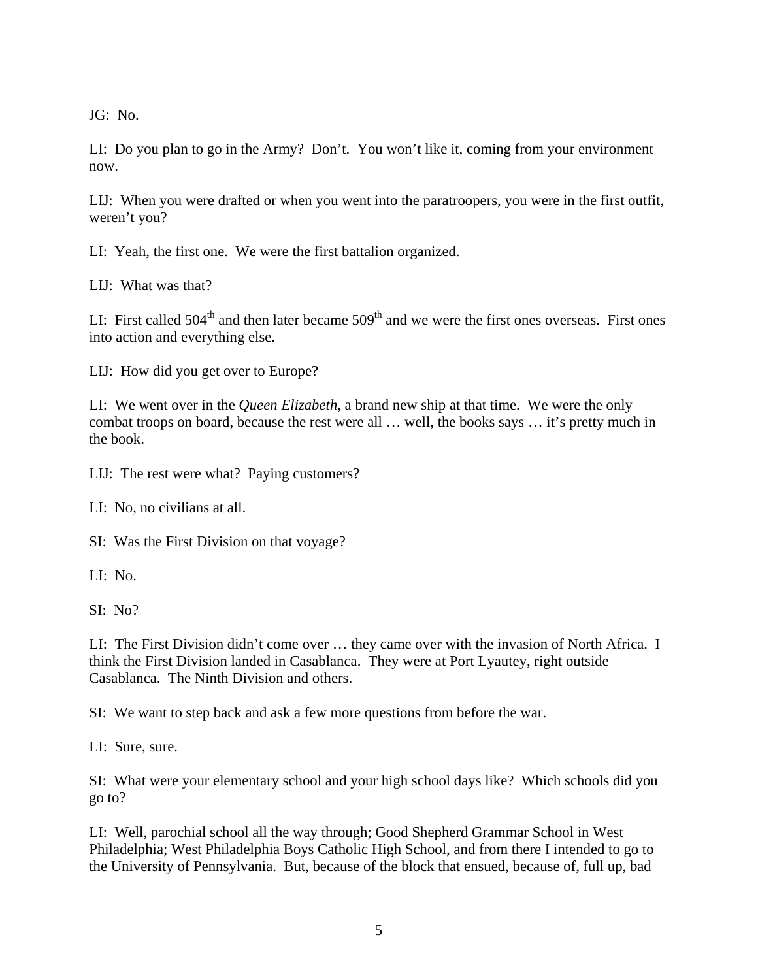JG: No.

LI: Do you plan to go in the Army? Don't. You won't like it, coming from your environment now.

LIJ: When you were drafted or when you went into the paratroopers, you were in the first outfit, weren't you?

LI: Yeah, the first one. We were the first battalion organized.

LIJ: What was that?

LI: First called  $504<sup>th</sup>$  and then later became  $509<sup>th</sup>$  and we were the first ones overseas. First ones into action and everything else.

LIJ: How did you get over to Europe?

LI: We went over in the *Queen Elizabeth*, a brand new ship at that time. We were the only combat troops on board, because the rest were all … well, the books says … it's pretty much in the book.

LIJ: The rest were what? Paying customers?

LI: No, no civilians at all.

SI: Was the First Division on that voyage?

LI: No.

SI: No?

LI: The First Division didn't come over … they came over with the invasion of North Africa. I think the First Division landed in Casablanca. They were at Port Lyautey, right outside Casablanca. The Ninth Division and others.

SI: We want to step back and ask a few more questions from before the war.

LI: Sure, sure.

SI: What were your elementary school and your high school days like? Which schools did you go to?

LI: Well, parochial school all the way through; Good Shepherd Grammar School in West Philadelphia; West Philadelphia Boys Catholic High School, and from there I intended to go to the University of Pennsylvania. But, because of the block that ensued, because of, full up, bad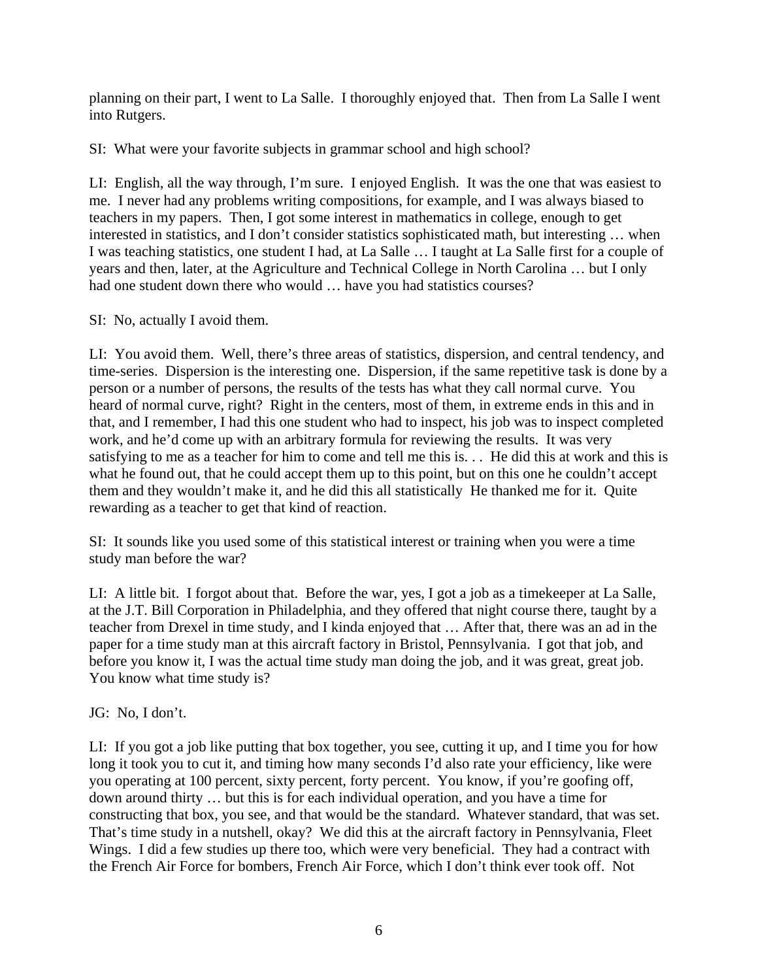planning on their part, I went to La Salle. I thoroughly enjoyed that. Then from La Salle I went into Rutgers.

SI: What were your favorite subjects in grammar school and high school?

LI: English, all the way through, I'm sure. I enjoyed English. It was the one that was easiest to me. I never had any problems writing compositions, for example, and I was always biased to teachers in my papers. Then, I got some interest in mathematics in college, enough to get interested in statistics, and I don't consider statistics sophisticated math, but interesting … when I was teaching statistics, one student I had, at La Salle … I taught at La Salle first for a couple of years and then, later, at the Agriculture and Technical College in North Carolina … but I only had one student down there who would … have you had statistics courses?

SI: No, actually I avoid them.

LI: You avoid them. Well, there's three areas of statistics, dispersion, and central tendency, and time-series. Dispersion is the interesting one. Dispersion, if the same repetitive task is done by a person or a number of persons, the results of the tests has what they call normal curve. You heard of normal curve, right? Right in the centers, most of them, in extreme ends in this and in that, and I remember, I had this one student who had to inspect, his job was to inspect completed work, and he'd come up with an arbitrary formula for reviewing the results. It was very satisfying to me as a teacher for him to come and tell me this is. . . He did this at work and this is what he found out, that he could accept them up to this point, but on this one he couldn't accept them and they wouldn't make it, and he did this all statistically He thanked me for it. Quite rewarding as a teacher to get that kind of reaction.

SI: It sounds like you used some of this statistical interest or training when you were a time study man before the war?

LI: A little bit. I forgot about that. Before the war, yes, I got a job as a timekeeper at La Salle, at the J.T. Bill Corporation in Philadelphia, and they offered that night course there, taught by a teacher from Drexel in time study, and I kinda enjoyed that … After that, there was an ad in the paper for a time study man at this aircraft factory in Bristol, Pennsylvania. I got that job, and before you know it, I was the actual time study man doing the job, and it was great, great job. You know what time study is?

JG: No, I don't.

LI: If you got a job like putting that box together, you see, cutting it up, and I time you for how long it took you to cut it, and timing how many seconds I'd also rate your efficiency, like were you operating at 100 percent, sixty percent, forty percent. You know, if you're goofing off, down around thirty … but this is for each individual operation, and you have a time for constructing that box, you see, and that would be the standard. Whatever standard, that was set. That's time study in a nutshell, okay? We did this at the aircraft factory in Pennsylvania, Fleet Wings. I did a few studies up there too, which were very beneficial. They had a contract with the French Air Force for bombers, French Air Force, which I don't think ever took off. Not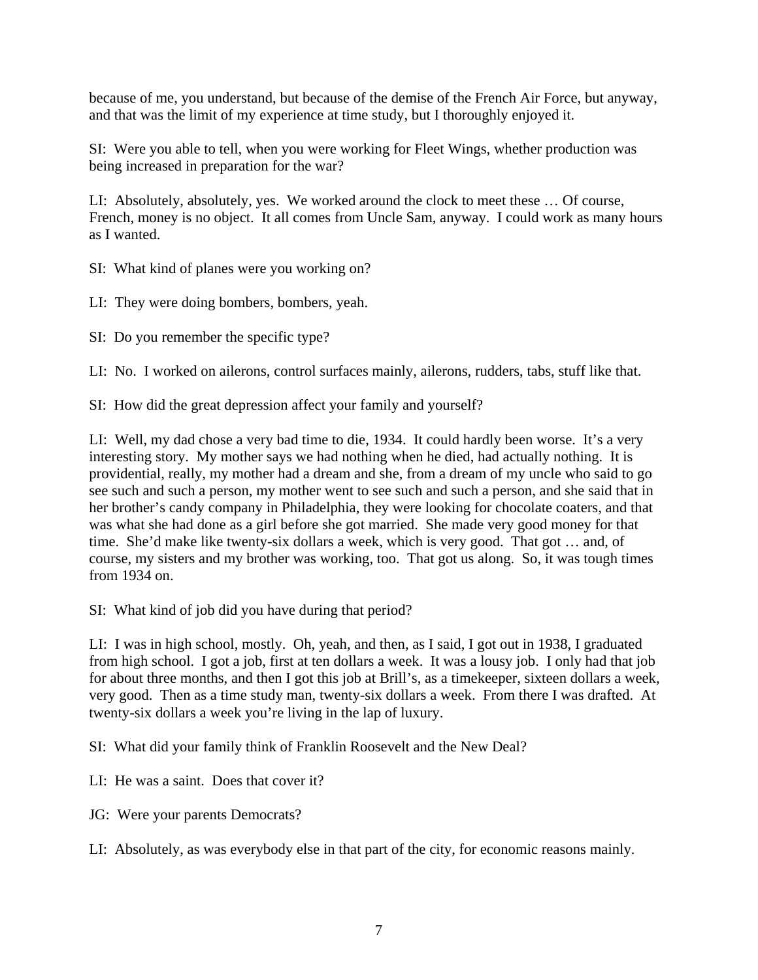because of me, you understand, but because of the demise of the French Air Force, but anyway, and that was the limit of my experience at time study, but I thoroughly enjoyed it.

SI: Were you able to tell, when you were working for Fleet Wings, whether production was being increased in preparation for the war?

LI: Absolutely, absolutely, yes. We worked around the clock to meet these … Of course, French, money is no object. It all comes from Uncle Sam, anyway. I could work as many hours as I wanted.

SI: What kind of planes were you working on?

LI: They were doing bombers, bombers, yeah.

SI: Do you remember the specific type?

LI: No. I worked on ailerons, control surfaces mainly, ailerons, rudders, tabs, stuff like that.

SI: How did the great depression affect your family and yourself?

LI: Well, my dad chose a very bad time to die, 1934. It could hardly been worse. It's a very interesting story. My mother says we had nothing when he died, had actually nothing. It is providential, really, my mother had a dream and she, from a dream of my uncle who said to go see such and such a person, my mother went to see such and such a person, and she said that in her brother's candy company in Philadelphia, they were looking for chocolate coaters, and that was what she had done as a girl before she got married. She made very good money for that time. She'd make like twenty-six dollars a week, which is very good. That got … and, of course, my sisters and my brother was working, too. That got us along. So, it was tough times from 1934 on.

SI: What kind of job did you have during that period?

LI: I was in high school, mostly. Oh, yeah, and then, as I said, I got out in 1938, I graduated from high school. I got a job, first at ten dollars a week. It was a lousy job. I only had that job for about three months, and then I got this job at Brill's, as a timekeeper, sixteen dollars a week, very good. Then as a time study man, twenty-six dollars a week. From there I was drafted. At twenty-six dollars a week you're living in the lap of luxury.

SI: What did your family think of Franklin Roosevelt and the New Deal?

LI: He was a saint. Does that cover it?

JG: Were your parents Democrats?

LI: Absolutely, as was everybody else in that part of the city, for economic reasons mainly.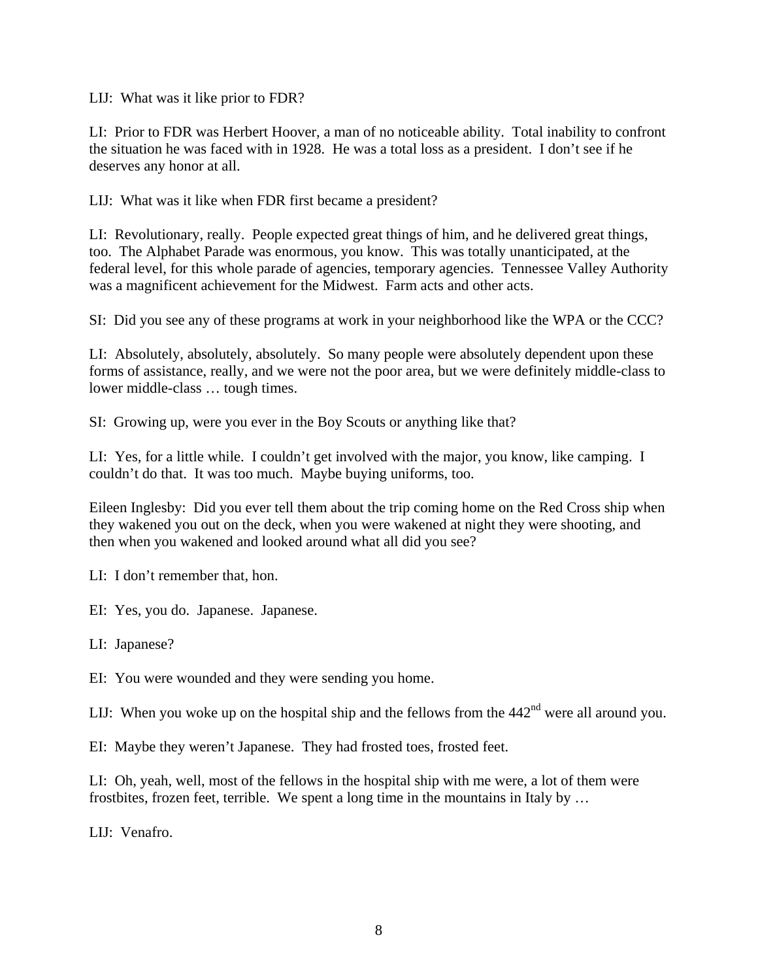LIJ: What was it like prior to FDR?

LI: Prior to FDR was Herbert Hoover, a man of no noticeable ability. Total inability to confront the situation he was faced with in 1928. He was a total loss as a president. I don't see if he deserves any honor at all.

LIJ: What was it like when FDR first became a president?

LI: Revolutionary, really. People expected great things of him, and he delivered great things, too. The Alphabet Parade was enormous, you know. This was totally unanticipated, at the federal level, for this whole parade of agencies, temporary agencies. Tennessee Valley Authority was a magnificent achievement for the Midwest. Farm acts and other acts.

SI: Did you see any of these programs at work in your neighborhood like the WPA or the CCC?

LI: Absolutely, absolutely, absolutely. So many people were absolutely dependent upon these forms of assistance, really, and we were not the poor area, but we were definitely middle-class to lower middle-class … tough times.

SI: Growing up, were you ever in the Boy Scouts or anything like that?

LI: Yes, for a little while. I couldn't get involved with the major, you know, like camping. I couldn't do that. It was too much. Maybe buying uniforms, too.

Eileen Inglesby: Did you ever tell them about the trip coming home on the Red Cross ship when they wakened you out on the deck, when you were wakened at night they were shooting, and then when you wakened and looked around what all did you see?

LI: I don't remember that, hon.

EI: Yes, you do. Japanese. Japanese.

LI: Japanese?

EI: You were wounded and they were sending you home.

LIJ: When you woke up on the hospital ship and the fellows from the  $442<sup>nd</sup>$  were all around you.

EI: Maybe they weren't Japanese. They had frosted toes, frosted feet.

LI: Oh, yeah, well, most of the fellows in the hospital ship with me were, a lot of them were frostbites, frozen feet, terrible. We spent a long time in the mountains in Italy by …

LIJ: Venafro.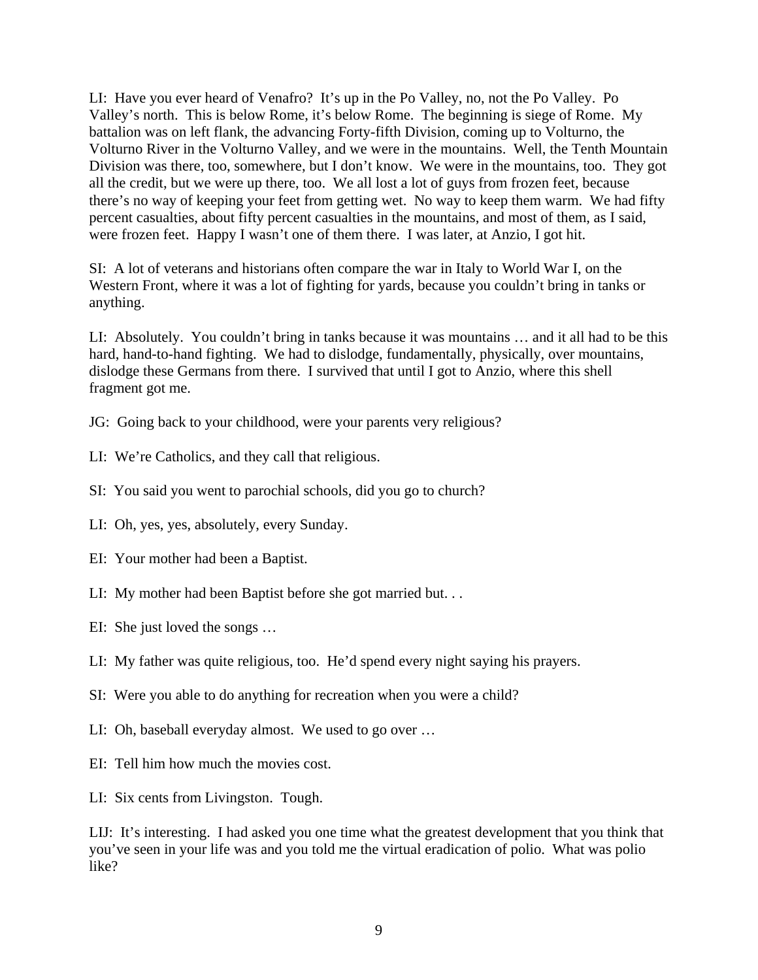LI: Have you ever heard of Venafro? It's up in the Po Valley, no, not the Po Valley. Po Valley's north. This is below Rome, it's below Rome. The beginning is siege of Rome. My battalion was on left flank, the advancing Forty-fifth Division, coming up to Volturno, the Volturno River in the Volturno Valley, and we were in the mountains. Well, the Tenth Mountain Division was there, too, somewhere, but I don't know. We were in the mountains, too. They got all the credit, but we were up there, too. We all lost a lot of guys from frozen feet, because there's no way of keeping your feet from getting wet. No way to keep them warm. We had fifty percent casualties, about fifty percent casualties in the mountains, and most of them, as I said, were frozen feet. Happy I wasn't one of them there. I was later, at Anzio, I got hit.

SI: A lot of veterans and historians often compare the war in Italy to World War I, on the Western Front, where it was a lot of fighting for yards, because you couldn't bring in tanks or anything.

LI: Absolutely. You couldn't bring in tanks because it was mountains … and it all had to be this hard, hand-to-hand fighting. We had to dislodge, fundamentally, physically, over mountains, dislodge these Germans from there. I survived that until I got to Anzio, where this shell fragment got me.

- JG: Going back to your childhood, were your parents very religious?
- LI: We're Catholics, and they call that religious.
- SI: You said you went to parochial schools, did you go to church?
- LI: Oh, yes, yes, absolutely, every Sunday.
- EI: Your mother had been a Baptist.
- LI: My mother had been Baptist before she got married but. . .
- EI: She just loved the songs …
- LI: My father was quite religious, too. He'd spend every night saying his prayers.
- SI: Were you able to do anything for recreation when you were a child?
- LI: Oh, baseball everyday almost. We used to go over …
- EI: Tell him how much the movies cost.
- LI: Six cents from Livingston. Tough.

LIJ: It's interesting. I had asked you one time what the greatest development that you think that you've seen in your life was and you told me the virtual eradication of polio. What was polio like?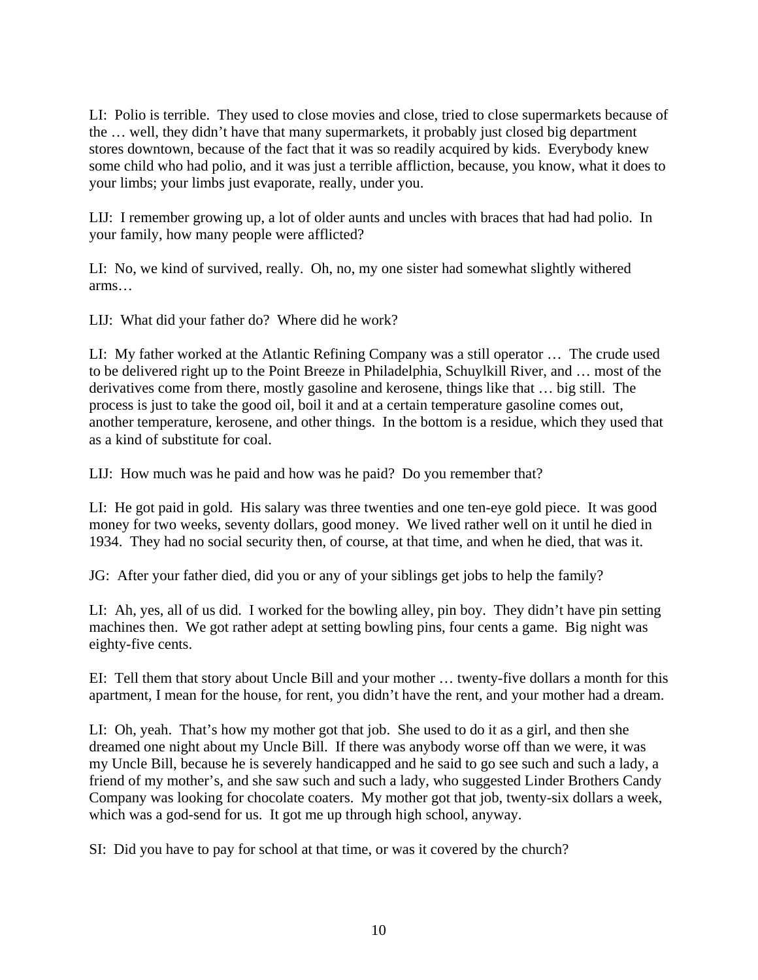LI: Polio is terrible. They used to close movies and close, tried to close supermarkets because of the … well, they didn't have that many supermarkets, it probably just closed big department stores downtown, because of the fact that it was so readily acquired by kids. Everybody knew some child who had polio, and it was just a terrible affliction, because, you know, what it does to your limbs; your limbs just evaporate, really, under you.

LIJ: I remember growing up, a lot of older aunts and uncles with braces that had had polio. In your family, how many people were afflicted?

LI: No, we kind of survived, really. Oh, no, my one sister had somewhat slightly withered arms…

LIJ: What did your father do? Where did he work?

LI: My father worked at the Atlantic Refining Company was a still operator … The crude used to be delivered right up to the Point Breeze in Philadelphia, Schuylkill River, and … most of the derivatives come from there, mostly gasoline and kerosene, things like that … big still. The process is just to take the good oil, boil it and at a certain temperature gasoline comes out, another temperature, kerosene, and other things. In the bottom is a residue, which they used that as a kind of substitute for coal.

LIJ: How much was he paid and how was he paid? Do you remember that?

LI: He got paid in gold. His salary was three twenties and one ten-eye gold piece. It was good money for two weeks, seventy dollars, good money. We lived rather well on it until he died in 1934. They had no social security then, of course, at that time, and when he died, that was it.

JG: After your father died, did you or any of your siblings get jobs to help the family?

LI: Ah, yes, all of us did. I worked for the bowling alley, pin boy. They didn't have pin setting machines then. We got rather adept at setting bowling pins, four cents a game. Big night was eighty-five cents.

EI: Tell them that story about Uncle Bill and your mother … twenty-five dollars a month for this apartment, I mean for the house, for rent, you didn't have the rent, and your mother had a dream.

LI: Oh, yeah. That's how my mother got that job. She used to do it as a girl, and then she dreamed one night about my Uncle Bill. If there was anybody worse off than we were, it was my Uncle Bill, because he is severely handicapped and he said to go see such and such a lady, a friend of my mother's, and she saw such and such a lady, who suggested Linder Brothers Candy Company was looking for chocolate coaters. My mother got that job, twenty-six dollars a week, which was a god-send for us. It got me up through high school, anyway.

SI: Did you have to pay for school at that time, or was it covered by the church?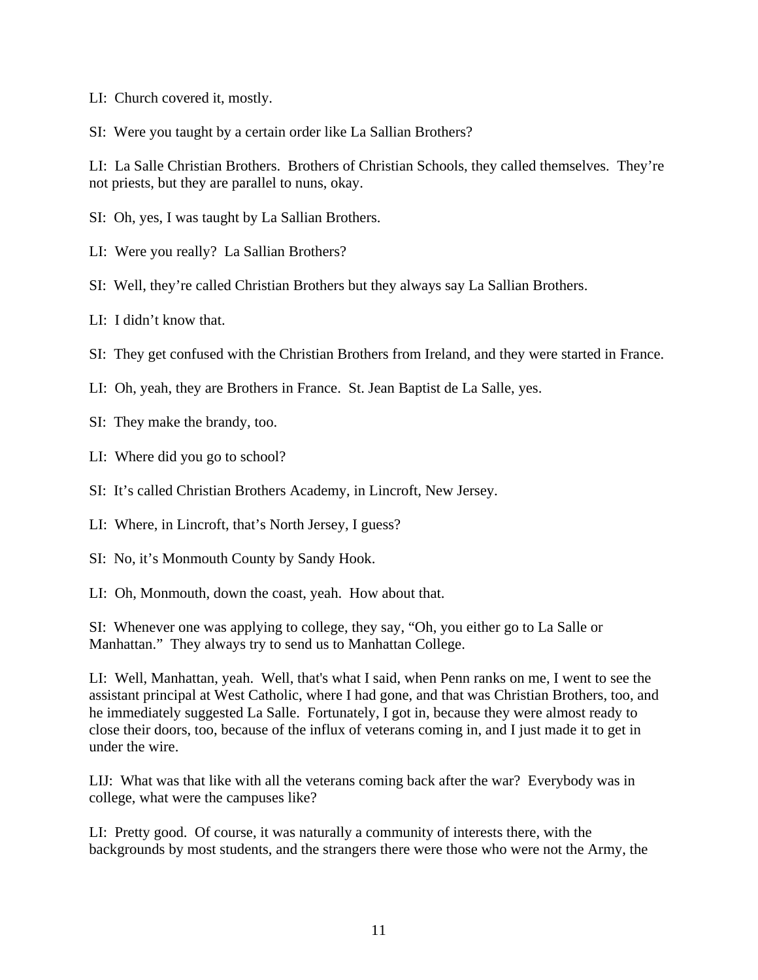- LI: Church covered it, mostly.
- SI: Were you taught by a certain order like La Sallian Brothers?

LI: La Salle Christian Brothers. Brothers of Christian Schools, they called themselves. They're not priests, but they are parallel to nuns, okay.

- SI: Oh, yes, I was taught by La Sallian Brothers.
- LI: Were you really? La Sallian Brothers?
- SI: Well, they're called Christian Brothers but they always say La Sallian Brothers.
- LI: I didn't know that.
- SI: They get confused with the Christian Brothers from Ireland, and they were started in France.
- LI: Oh, yeah, they are Brothers in France. St. Jean Baptist de La Salle, yes.
- SI: They make the brandy, too.
- LI: Where did you go to school?
- SI: It's called Christian Brothers Academy, in Lincroft, New Jersey.
- LI: Where, in Lincroft, that's North Jersey, I guess?
- SI: No, it's Monmouth County by Sandy Hook.
- LI: Oh, Monmouth, down the coast, yeah. How about that.

SI: Whenever one was applying to college, they say, "Oh, you either go to La Salle or Manhattan." They always try to send us to Manhattan College.

LI: Well, Manhattan, yeah. Well, that's what I said, when Penn ranks on me, I went to see the assistant principal at West Catholic, where I had gone, and that was Christian Brothers, too, and he immediately suggested La Salle. Fortunately, I got in, because they were almost ready to close their doors, too, because of the influx of veterans coming in, and I just made it to get in under the wire.

LIJ: What was that like with all the veterans coming back after the war? Everybody was in college, what were the campuses like?

LI: Pretty good. Of course, it was naturally a community of interests there, with the backgrounds by most students, and the strangers there were those who were not the Army, the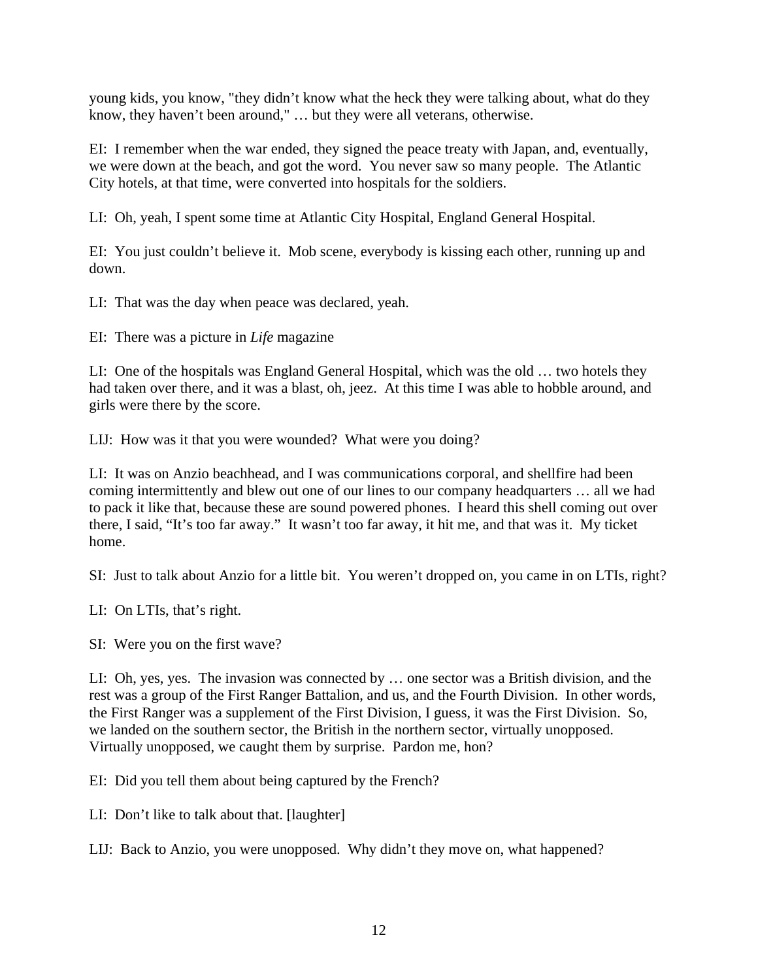young kids, you know, "they didn't know what the heck they were talking about, what do they know, they haven't been around," … but they were all veterans, otherwise.

EI: I remember when the war ended, they signed the peace treaty with Japan, and, eventually, we were down at the beach, and got the word. You never saw so many people. The Atlantic City hotels, at that time, were converted into hospitals for the soldiers.

LI: Oh, yeah, I spent some time at Atlantic City Hospital, England General Hospital.

EI: You just couldn't believe it. Mob scene, everybody is kissing each other, running up and down.

LI: That was the day when peace was declared, yeah.

EI: There was a picture in *Life* magazine

LI: One of the hospitals was England General Hospital, which was the old … two hotels they had taken over there, and it was a blast, oh, jeez. At this time I was able to hobble around, and girls were there by the score.

LIJ: How was it that you were wounded? What were you doing?

LI: It was on Anzio beachhead, and I was communications corporal, and shellfire had been coming intermittently and blew out one of our lines to our company headquarters … all we had to pack it like that, because these are sound powered phones. I heard this shell coming out over there, I said, "It's too far away." It wasn't too far away, it hit me, and that was it. My ticket home.

SI: Just to talk about Anzio for a little bit. You weren't dropped on, you came in on LTIs, right?

LI: On LTIs, that's right.

SI: Were you on the first wave?

LI: Oh, yes, yes. The invasion was connected by … one sector was a British division, and the rest was a group of the First Ranger Battalion, and us, and the Fourth Division. In other words, the First Ranger was a supplement of the First Division, I guess, it was the First Division. So, we landed on the southern sector, the British in the northern sector, virtually unopposed. Virtually unopposed, we caught them by surprise. Pardon me, hon?

EI: Did you tell them about being captured by the French?

LI: Don't like to talk about that. [laughter]

LIJ: Back to Anzio, you were unopposed. Why didn't they move on, what happened?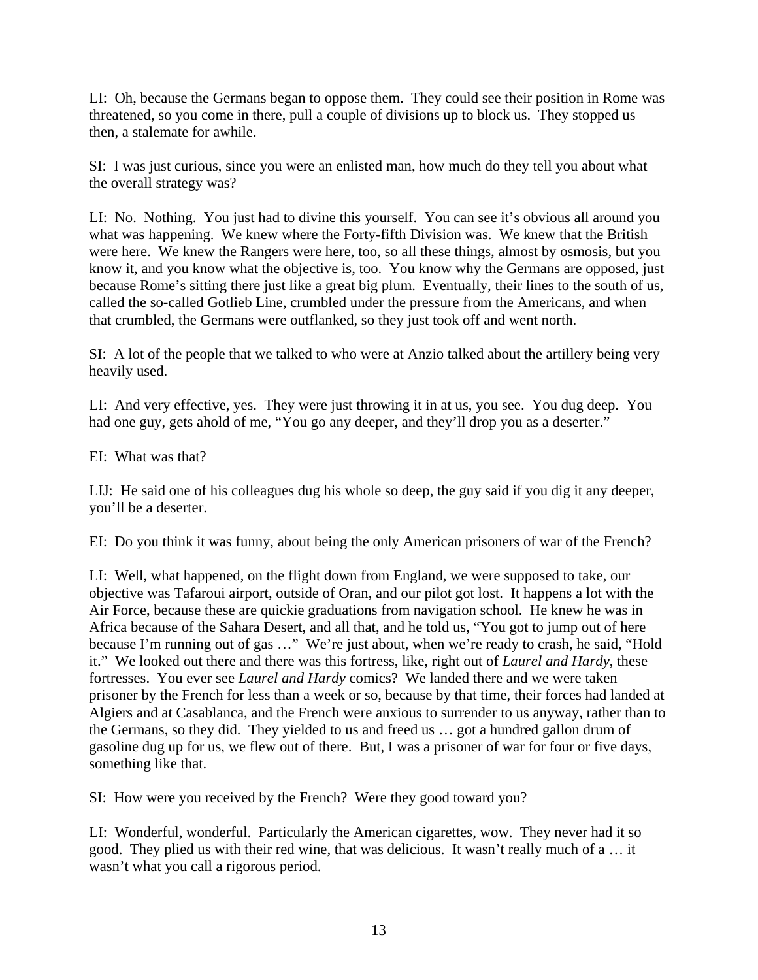LI: Oh, because the Germans began to oppose them. They could see their position in Rome was threatened, so you come in there, pull a couple of divisions up to block us. They stopped us then, a stalemate for awhile.

SI: I was just curious, since you were an enlisted man, how much do they tell you about what the overall strategy was?

LI: No. Nothing. You just had to divine this yourself. You can see it's obvious all around you what was happening. We knew where the Forty-fifth Division was. We knew that the British were here. We knew the Rangers were here, too, so all these things, almost by osmosis, but you know it, and you know what the objective is, too. You know why the Germans are opposed, just because Rome's sitting there just like a great big plum. Eventually, their lines to the south of us, called the so-called Gotlieb Line, crumbled under the pressure from the Americans, and when that crumbled, the Germans were outflanked, so they just took off and went north.

SI: A lot of the people that we talked to who were at Anzio talked about the artillery being very heavily used.

LI: And very effective, yes. They were just throwing it in at us, you see. You dug deep. You had one guy, gets ahold of me, "You go any deeper, and they'll drop you as a deserter."

EI: What was that?

LIJ: He said one of his colleagues dug his whole so deep, the guy said if you dig it any deeper, you'll be a deserter.

EI: Do you think it was funny, about being the only American prisoners of war of the French?

LI: Well, what happened, on the flight down from England, we were supposed to take, our objective was Tafaroui airport, outside of Oran, and our pilot got lost. It happens a lot with the Air Force, because these are quickie graduations from navigation school. He knew he was in Africa because of the Sahara Desert, and all that, and he told us, "You got to jump out of here because I'm running out of gas …" We're just about, when we're ready to crash, he said, "Hold it." We looked out there and there was this fortress, like, right out of *Laurel and Hardy*, these fortresses. You ever see *Laurel and Hardy* comics? We landed there and we were taken prisoner by the French for less than a week or so, because by that time, their forces had landed at Algiers and at Casablanca, and the French were anxious to surrender to us anyway, rather than to the Germans, so they did. They yielded to us and freed us … got a hundred gallon drum of gasoline dug up for us, we flew out of there. But, I was a prisoner of war for four or five days, something like that.

SI: How were you received by the French? Were they good toward you?

LI: Wonderful, wonderful. Particularly the American cigarettes, wow. They never had it so good. They plied us with their red wine, that was delicious. It wasn't really much of a … it wasn't what you call a rigorous period.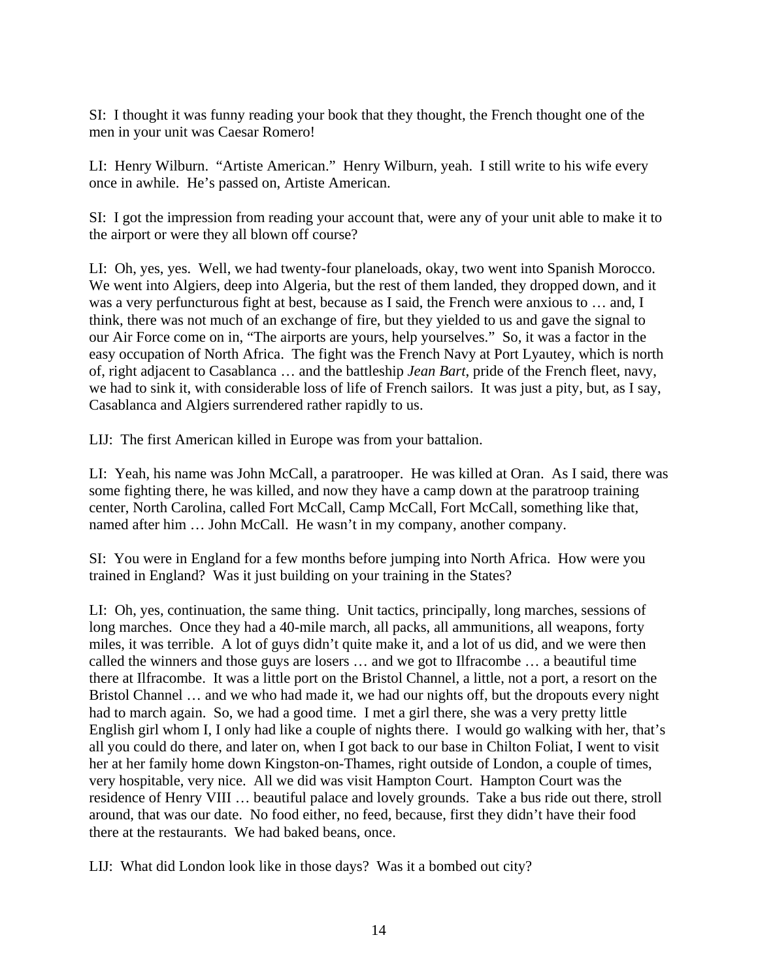SI: I thought it was funny reading your book that they thought, the French thought one of the men in your unit was Caesar Romero!

LI: Henry Wilburn. "Artiste American." Henry Wilburn, yeah. I still write to his wife every once in awhile. He's passed on, Artiste American.

SI: I got the impression from reading your account that, were any of your unit able to make it to the airport or were they all blown off course?

LI: Oh, yes, yes. Well, we had twenty-four planeloads, okay, two went into Spanish Morocco. We went into Algiers, deep into Algeria, but the rest of them landed, they dropped down, and it was a very perfuncturous fight at best, because as I said, the French were anxious to … and, I think, there was not much of an exchange of fire, but they yielded to us and gave the signal to our Air Force come on in, "The airports are yours, help yourselves." So, it was a factor in the easy occupation of North Africa. The fight was the French Navy at Port Lyautey, which is north of, right adjacent to Casablanca … and the battleship *Jean Bart*, pride of the French fleet, navy, we had to sink it, with considerable loss of life of French sailors. It was just a pity, but, as I say, Casablanca and Algiers surrendered rather rapidly to us.

LIJ: The first American killed in Europe was from your battalion.

LI: Yeah, his name was John McCall, a paratrooper. He was killed at Oran. As I said, there was some fighting there, he was killed, and now they have a camp down at the paratroop training center, North Carolina, called Fort McCall, Camp McCall, Fort McCall, something like that, named after him … John McCall. He wasn't in my company, another company.

SI: You were in England for a few months before jumping into North Africa. How were you trained in England? Was it just building on your training in the States?

LI: Oh, yes, continuation, the same thing. Unit tactics, principally, long marches, sessions of long marches. Once they had a 40-mile march, all packs, all ammunitions, all weapons, forty miles, it was terrible. A lot of guys didn't quite make it, and a lot of us did, and we were then called the winners and those guys are losers … and we got to Ilfracombe … a beautiful time there at Ilfracombe. It was a little port on the Bristol Channel, a little, not a port, a resort on the Bristol Channel … and we who had made it, we had our nights off, but the dropouts every night had to march again. So, we had a good time. I met a girl there, she was a very pretty little English girl whom I, I only had like a couple of nights there. I would go walking with her, that's all you could do there, and later on, when I got back to our base in Chilton Foliat, I went to visit her at her family home down Kingston-on-Thames, right outside of London, a couple of times, very hospitable, very nice. All we did was visit Hampton Court. Hampton Court was the residence of Henry VIII … beautiful palace and lovely grounds. Take a bus ride out there, stroll around, that was our date. No food either, no feed, because, first they didn't have their food there at the restaurants. We had baked beans, once.

LIJ: What did London look like in those days? Was it a bombed out city?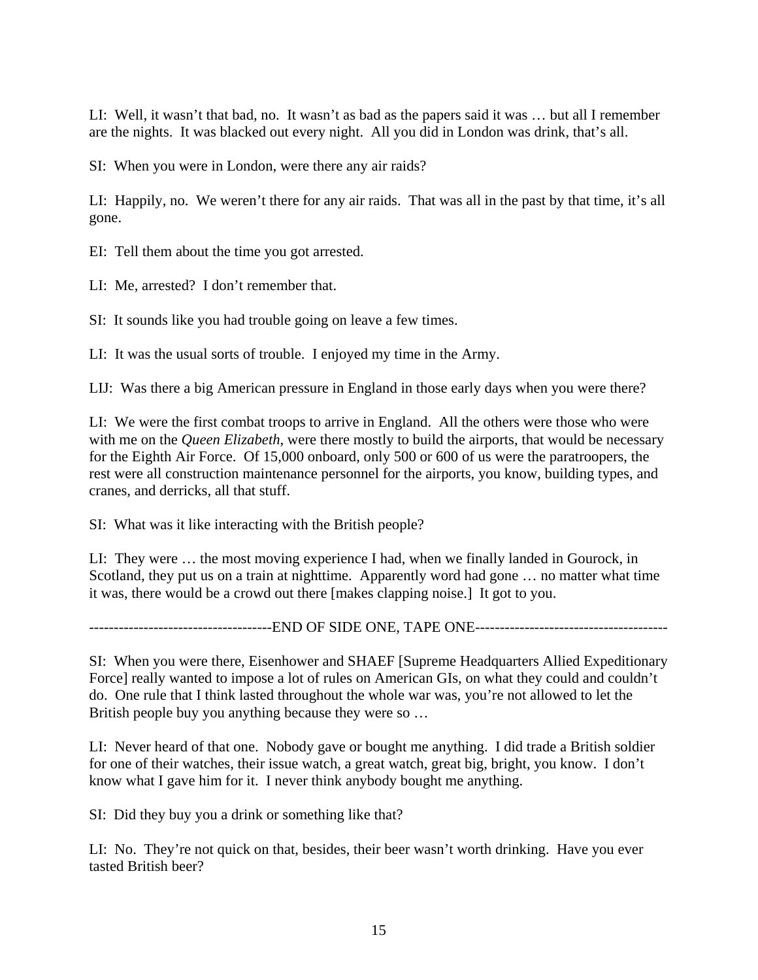LI: Well, it wasn't that bad, no. It wasn't as bad as the papers said it was … but all I remember are the nights. It was blacked out every night. All you did in London was drink, that's all.

SI: When you were in London, were there any air raids?

LI: Happily, no. We weren't there for any air raids. That was all in the past by that time, it's all gone.

EI: Tell them about the time you got arrested.

LI: Me, arrested? I don't remember that.

SI: It sounds like you had trouble going on leave a few times.

LI: It was the usual sorts of trouble. I enjoyed my time in the Army.

LIJ: Was there a big American pressure in England in those early days when you were there?

LI: We were the first combat troops to arrive in England. All the others were those who were with me on the *Queen Elizabeth*, were there mostly to build the airports, that would be necessary for the Eighth Air Force. Of 15,000 onboard, only 500 or 600 of us were the paratroopers, the rest were all construction maintenance personnel for the airports, you know, building types, and cranes, and derricks, all that stuff.

SI: What was it like interacting with the British people?

LI: They were … the most moving experience I had, when we finally landed in Gourock, in Scotland, they put us on a train at nighttime. Apparently word had gone ... no matter what time it was, there would be a crowd out there [makes clapping noise.] It got to you.

-------------------------------------END OF SIDE ONE, TAPE ONE---------------------------------------

SI: When you were there, Eisenhower and SHAEF [Supreme Headquarters Allied Expeditionary Force] really wanted to impose a lot of rules on American GIs, on what they could and couldn't do. One rule that I think lasted throughout the whole war was, you're not allowed to let the British people buy you anything because they were so …

LI: Never heard of that one. Nobody gave or bought me anything. I did trade a British soldier for one of their watches, their issue watch, a great watch, great big, bright, you know. I don't know what I gave him for it. I never think anybody bought me anything.

SI: Did they buy you a drink or something like that?

LI: No. They're not quick on that, besides, their beer wasn't worth drinking. Have you ever tasted British beer?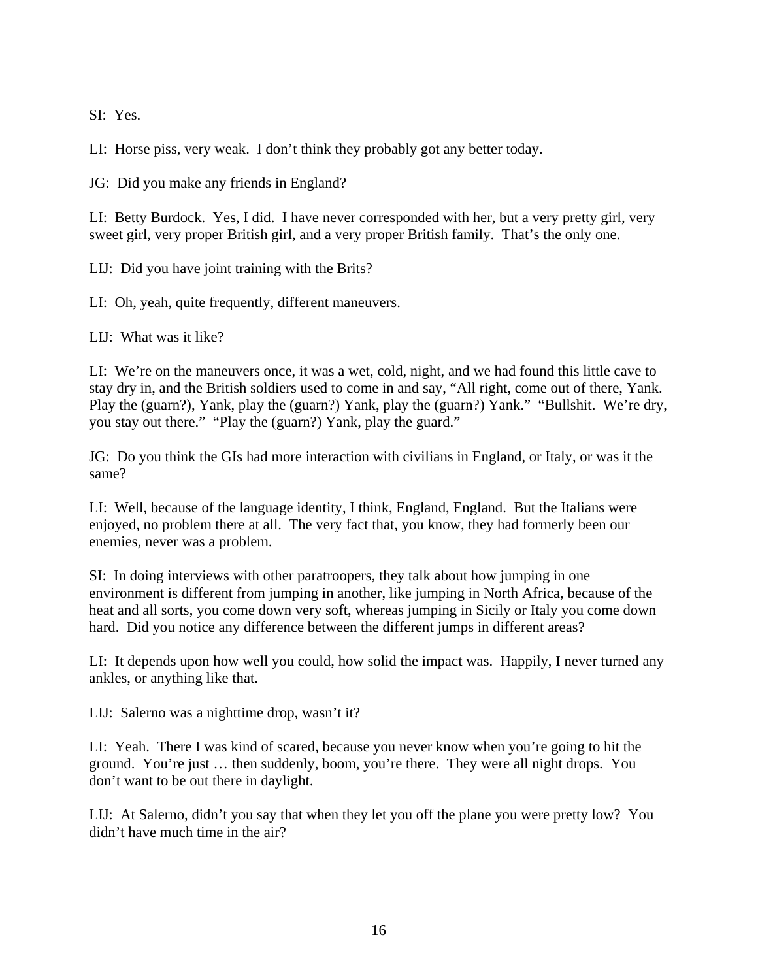SI: Yes.

LI: Horse piss, very weak. I don't think they probably got any better today.

JG: Did you make any friends in England?

LI: Betty Burdock. Yes, I did. I have never corresponded with her, but a very pretty girl, very sweet girl, very proper British girl, and a very proper British family. That's the only one.

LIJ: Did you have joint training with the Brits?

LI: Oh, yeah, quite frequently, different maneuvers.

LIJ: What was it like?

LI: We're on the maneuvers once, it was a wet, cold, night, and we had found this little cave to stay dry in, and the British soldiers used to come in and say, "All right, come out of there, Yank. Play the (guarn?), Yank, play the (guarn?) Yank, play the (guarn?) Yank." "Bullshit. We're dry, you stay out there." "Play the (guarn?) Yank, play the guard."

JG: Do you think the GIs had more interaction with civilians in England, or Italy, or was it the same?

LI: Well, because of the language identity, I think, England, England. But the Italians were enjoyed, no problem there at all. The very fact that, you know, they had formerly been our enemies, never was a problem.

SI: In doing interviews with other paratroopers, they talk about how jumping in one environment is different from jumping in another, like jumping in North Africa, because of the heat and all sorts, you come down very soft, whereas jumping in Sicily or Italy you come down hard. Did you notice any difference between the different jumps in different areas?

LI: It depends upon how well you could, how solid the impact was. Happily, I never turned any ankles, or anything like that.

LIJ: Salerno was a nighttime drop, wasn't it?

LI: Yeah. There I was kind of scared, because you never know when you're going to hit the ground. You're just … then suddenly, boom, you're there. They were all night drops. You don't want to be out there in daylight.

LIJ: At Salerno, didn't you say that when they let you off the plane you were pretty low? You didn't have much time in the air?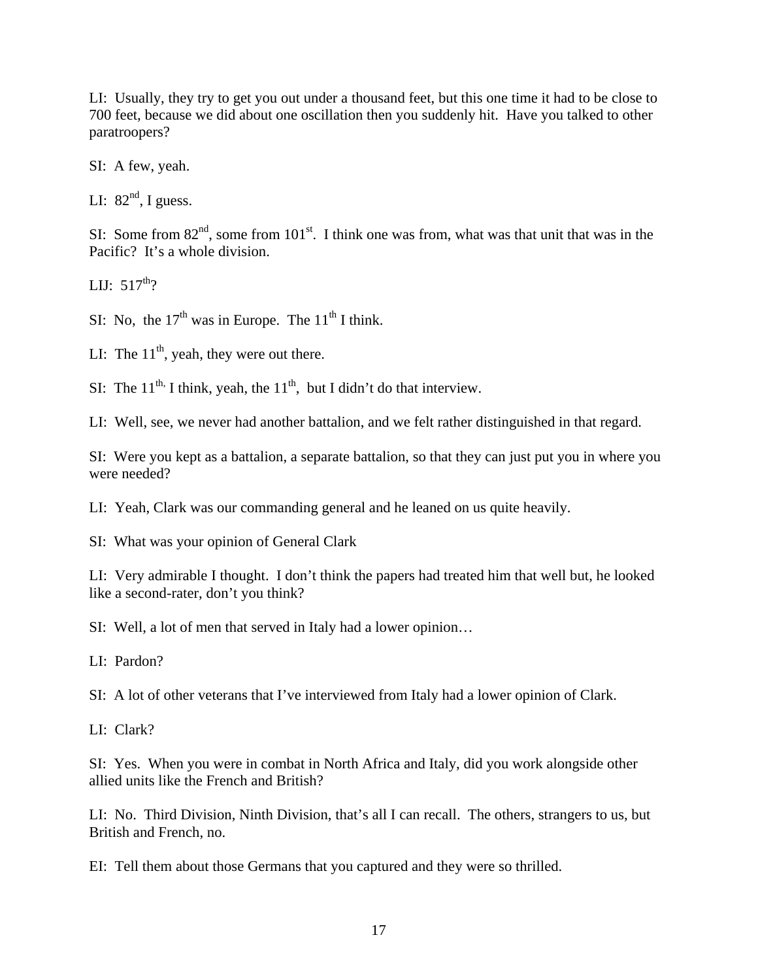LI: Usually, they try to get you out under a thousand feet, but this one time it had to be close to 700 feet, because we did about one oscillation then you suddenly hit. Have you talked to other paratroopers?

SI: A few, yeah.

LI:  $82<sup>nd</sup>$ , I guess.

SI: Some from  $82<sup>nd</sup>$ , some from  $101<sup>st</sup>$ . I think one was from, what was that unit that was in the Pacific? It's a whole division.

LIJ:  $517^{th}$ ?

SI: No, the  $17<sup>th</sup>$  was in Europe. The  $11<sup>th</sup>$  I think.

LI: The  $11<sup>th</sup>$ , yeah, they were out there.

SI: The  $11^{th}$ , I think, yeah, the  $11^{th}$ , but I didn't do that interview.

LI: Well, see, we never had another battalion, and we felt rather distinguished in that regard.

SI: Were you kept as a battalion, a separate battalion, so that they can just put you in where you were needed?

LI: Yeah, Clark was our commanding general and he leaned on us quite heavily.

SI: What was your opinion of General Clark

LI: Very admirable I thought. I don't think the papers had treated him that well but, he looked like a second-rater, don't you think?

SI: Well, a lot of men that served in Italy had a lower opinion…

LI: Pardon?

SI: A lot of other veterans that I've interviewed from Italy had a lower opinion of Clark.

LI: Clark?

SI: Yes. When you were in combat in North Africa and Italy, did you work alongside other allied units like the French and British?

LI: No. Third Division, Ninth Division, that's all I can recall. The others, strangers to us, but British and French, no.

EI: Tell them about those Germans that you captured and they were so thrilled.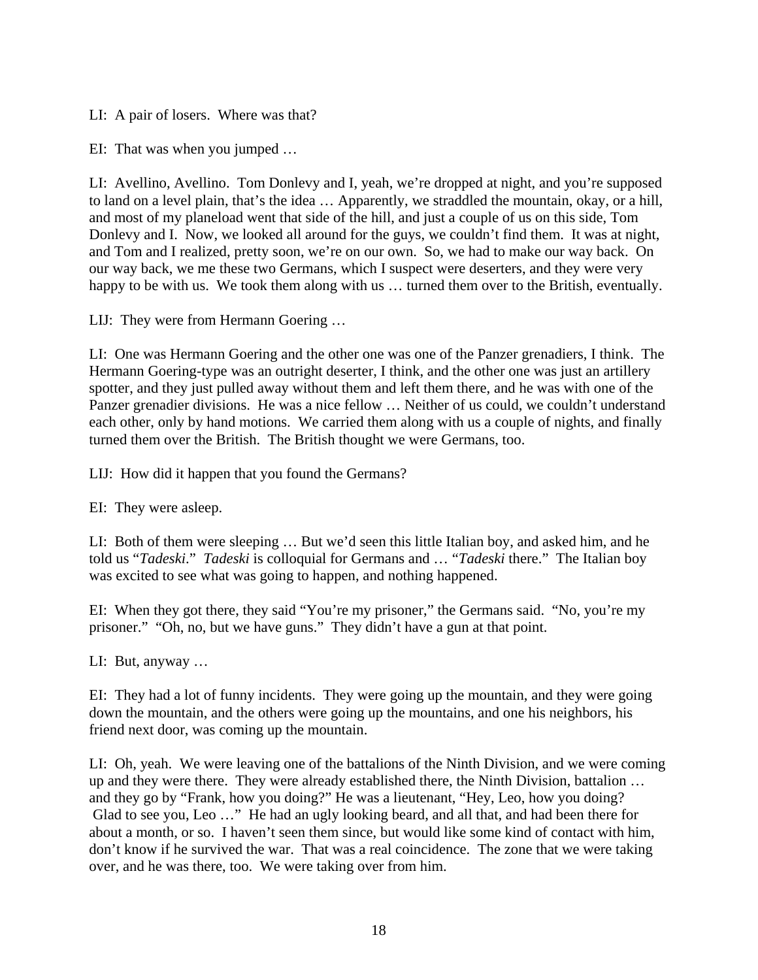LI: A pair of losers. Where was that?

EI: That was when you jumped …

LI: Avellino, Avellino. Tom Donlevy and I, yeah, we're dropped at night, and you're supposed to land on a level plain, that's the idea … Apparently, we straddled the mountain, okay, or a hill, and most of my planeload went that side of the hill, and just a couple of us on this side, Tom Donlevy and I. Now, we looked all around for the guys, we couldn't find them. It was at night, and Tom and I realized, pretty soon, we're on our own. So, we had to make our way back. On our way back, we me these two Germans, which I suspect were deserters, and they were very happy to be with us. We took them along with us ... turned them over to the British, eventually.

LIJ: They were from Hermann Goering …

LI: One was Hermann Goering and the other one was one of the Panzer grenadiers, I think. The Hermann Goering-type was an outright deserter, I think, and the other one was just an artillery spotter, and they just pulled away without them and left them there, and he was with one of the Panzer grenadier divisions. He was a nice fellow ... Neither of us could, we couldn't understand each other, only by hand motions. We carried them along with us a couple of nights, and finally turned them over the British. The British thought we were Germans, too.

LIJ: How did it happen that you found the Germans?

EI: They were asleep.

LI: Both of them were sleeping … But we'd seen this little Italian boy, and asked him, and he told us "*Tadeski*." *Tadeski* is colloquial for Germans and … "*Tadeski* there." The Italian boy was excited to see what was going to happen, and nothing happened.

EI: When they got there, they said "You're my prisoner," the Germans said. "No, you're my prisoner." "Oh, no, but we have guns." They didn't have a gun at that point.

LI: But, anyway …

EI: They had a lot of funny incidents. They were going up the mountain, and they were going down the mountain, and the others were going up the mountains, and one his neighbors, his friend next door, was coming up the mountain.

LI: Oh, yeah. We were leaving one of the battalions of the Ninth Division, and we were coming up and they were there. They were already established there, the Ninth Division, battalion … and they go by "Frank, how you doing?" He was a lieutenant, "Hey, Leo, how you doing? Glad to see you, Leo …" He had an ugly looking beard, and all that, and had been there for about a month, or so. I haven't seen them since, but would like some kind of contact with him, don't know if he survived the war. That was a real coincidence. The zone that we were taking over, and he was there, too. We were taking over from him.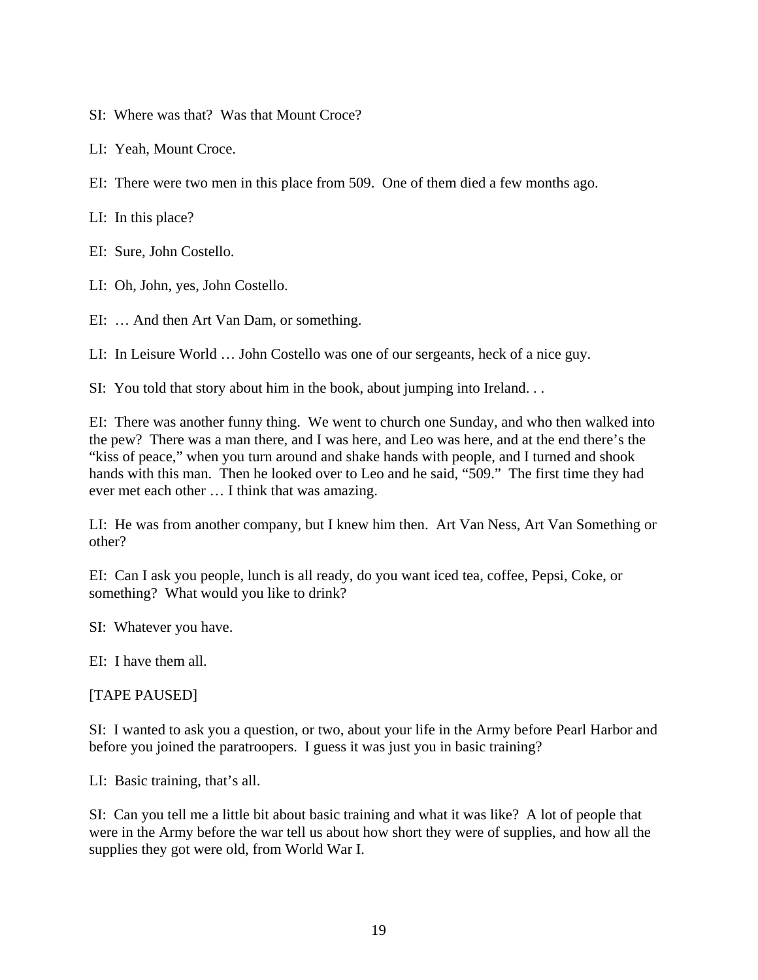SI: Where was that? Was that Mount Croce?

LI: Yeah, Mount Croce.

EI: There were two men in this place from 509. One of them died a few months ago.

LI: In this place?

EI: Sure, John Costello.

LI: Oh, John, yes, John Costello.

EI: … And then Art Van Dam, or something.

LI: In Leisure World … John Costello was one of our sergeants, heck of a nice guy.

SI: You told that story about him in the book, about jumping into Ireland. . .

EI: There was another funny thing. We went to church one Sunday, and who then walked into the pew? There was a man there, and I was here, and Leo was here, and at the end there's the "kiss of peace," when you turn around and shake hands with people, and I turned and shook hands with this man. Then he looked over to Leo and he said, "509." The first time they had ever met each other … I think that was amazing.

LI: He was from another company, but I knew him then. Art Van Ness, Art Van Something or other?

EI: Can I ask you people, lunch is all ready, do you want iced tea, coffee, Pepsi, Coke, or something? What would you like to drink?

SI: Whatever you have.

EI: I have them all.

[TAPE PAUSED]

SI: I wanted to ask you a question, or two, about your life in the Army before Pearl Harbor and before you joined the paratroopers. I guess it was just you in basic training?

LI: Basic training, that's all.

SI: Can you tell me a little bit about basic training and what it was like? A lot of people that were in the Army before the war tell us about how short they were of supplies, and how all the supplies they got were old, from World War I.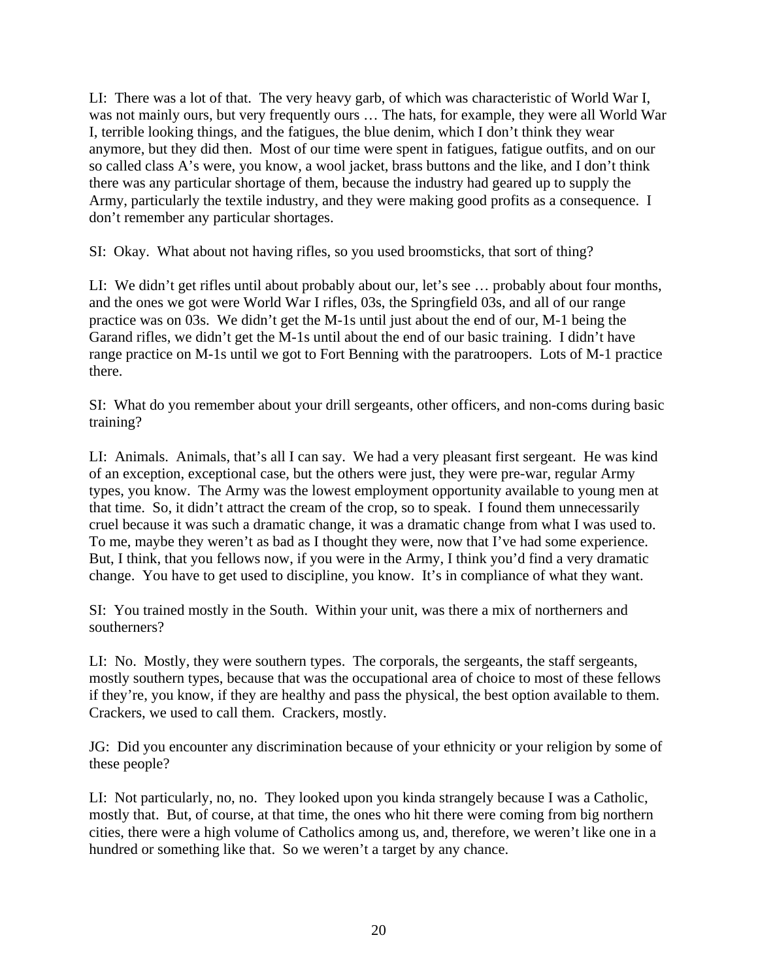LI: There was a lot of that. The very heavy garb, of which was characteristic of World War I, was not mainly ours, but very frequently ours … The hats, for example, they were all World War I, terrible looking things, and the fatigues, the blue denim, which I don't think they wear anymore, but they did then. Most of our time were spent in fatigues, fatigue outfits, and on our so called class A's were, you know, a wool jacket, brass buttons and the like, and I don't think there was any particular shortage of them, because the industry had geared up to supply the Army, particularly the textile industry, and they were making good profits as a consequence. I don't remember any particular shortages.

SI: Okay. What about not having rifles, so you used broomsticks, that sort of thing?

LI: We didn't get rifles until about probably about our, let's see … probably about four months, and the ones we got were World War I rifles, 03s, the Springfield 03s, and all of our range practice was on 03s. We didn't get the M-1s until just about the end of our, M-1 being the Garand rifles, we didn't get the M-1s until about the end of our basic training. I didn't have range practice on M-1s until we got to Fort Benning with the paratroopers. Lots of M-1 practice there.

SI: What do you remember about your drill sergeants, other officers, and non-coms during basic training?

LI: Animals. Animals, that's all I can say. We had a very pleasant first sergeant. He was kind of an exception, exceptional case, but the others were just, they were pre-war, regular Army types, you know. The Army was the lowest employment opportunity available to young men at that time. So, it didn't attract the cream of the crop, so to speak. I found them unnecessarily cruel because it was such a dramatic change, it was a dramatic change from what I was used to. To me, maybe they weren't as bad as I thought they were, now that I've had some experience. But, I think, that you fellows now, if you were in the Army, I think you'd find a very dramatic change. You have to get used to discipline, you know. It's in compliance of what they want.

SI: You trained mostly in the South. Within your unit, was there a mix of northerners and southerners?

LI: No. Mostly, they were southern types. The corporals, the sergeants, the staff sergeants, mostly southern types, because that was the occupational area of choice to most of these fellows if they're, you know, if they are healthy and pass the physical, the best option available to them. Crackers, we used to call them. Crackers, mostly.

JG: Did you encounter any discrimination because of your ethnicity or your religion by some of these people?

LI: Not particularly, no, no. They looked upon you kinda strangely because I was a Catholic, mostly that. But, of course, at that time, the ones who hit there were coming from big northern cities, there were a high volume of Catholics among us, and, therefore, we weren't like one in a hundred or something like that. So we weren't a target by any chance.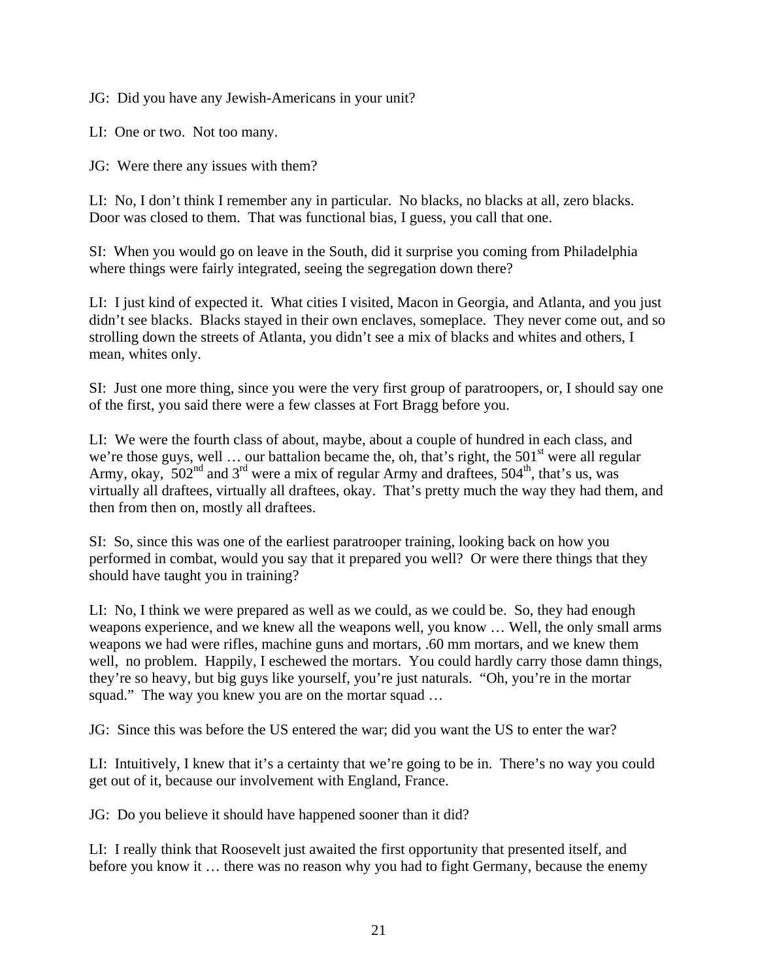JG: Did you have any Jewish-Americans in your unit?

LI: One or two. Not too many.

JG: Were there any issues with them?

LI: No, I don't think I remember any in particular. No blacks, no blacks at all, zero blacks. Door was closed to them. That was functional bias, I guess, you call that one.

SI: When you would go on leave in the South, did it surprise you coming from Philadelphia where things were fairly integrated, seeing the segregation down there?

LI: I just kind of expected it. What cities I visited, Macon in Georgia, and Atlanta, and you just didn't see blacks. Blacks stayed in their own enclaves, someplace. They never come out, and so strolling down the streets of Atlanta, you didn't see a mix of blacks and whites and others, I mean, whites only.

SI: Just one more thing, since you were the very first group of paratroopers, or, I should say one of the first, you said there were a few classes at Fort Bragg before you.

LI: We were the fourth class of about, maybe, about a couple of hundred in each class, and we're those guys, well  $\ldots$  our battalion became the, oh, that's right, the 501<sup>st</sup> were all regular Army, okay,  $502<sup>nd</sup>$  and  $3<sup>rd</sup>$  were a mix of regular Army and draftees,  $504<sup>th</sup>$ , that's us, was virtually all draftees, virtually all draftees, okay. That's pretty much the way they had them, and then from then on, mostly all draftees.

SI: So, since this was one of the earliest paratrooper training, looking back on how you performed in combat, would you say that it prepared you well? Or were there things that they should have taught you in training?

LI: No, I think we were prepared as well as we could, as we could be. So, they had enough weapons experience, and we knew all the weapons well, you know … Well, the only small arms weapons we had were rifles, machine guns and mortars, .60 mm mortars, and we knew them well, no problem. Happily, I eschewed the mortars. You could hardly carry those damn things, they're so heavy, but big guys like yourself, you're just naturals. "Oh, you're in the mortar squad." The way you knew you are on the mortar squad ...

JG: Since this was before the US entered the war; did you want the US to enter the war?

LI: Intuitively, I knew that it's a certainty that we're going to be in. There's no way you could get out of it, because our involvement with England, France.

JG: Do you believe it should have happened sooner than it did?

LI: I really think that Roosevelt just awaited the first opportunity that presented itself, and before you know it … there was no reason why you had to fight Germany, because the enemy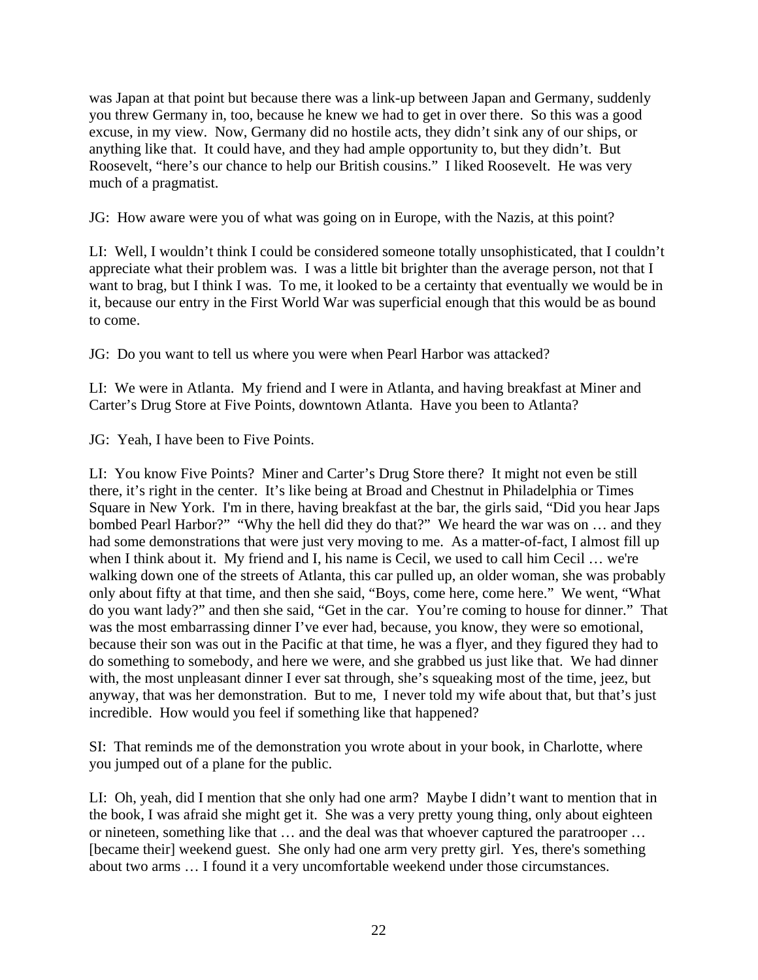was Japan at that point but because there was a link-up between Japan and Germany, suddenly you threw Germany in, too, because he knew we had to get in over there. So this was a good excuse, in my view. Now, Germany did no hostile acts, they didn't sink any of our ships, or anything like that. It could have, and they had ample opportunity to, but they didn't. But Roosevelt, "here's our chance to help our British cousins." I liked Roosevelt. He was very much of a pragmatist.

JG: How aware were you of what was going on in Europe, with the Nazis, at this point?

LI: Well, I wouldn't think I could be considered someone totally unsophisticated, that I couldn't appreciate what their problem was. I was a little bit brighter than the average person, not that I want to brag, but I think I was. To me, it looked to be a certainty that eventually we would be in it, because our entry in the First World War was superficial enough that this would be as bound to come.

JG: Do you want to tell us where you were when Pearl Harbor was attacked?

LI: We were in Atlanta. My friend and I were in Atlanta, and having breakfast at Miner and Carter's Drug Store at Five Points, downtown Atlanta. Have you been to Atlanta?

JG: Yeah, I have been to Five Points.

LI: You know Five Points? Miner and Carter's Drug Store there? It might not even be still there, it's right in the center. It's like being at Broad and Chestnut in Philadelphia or Times Square in New York. I'm in there, having breakfast at the bar, the girls said, "Did you hear Japs bombed Pearl Harbor?" "Why the hell did they do that?" We heard the war was on … and they had some demonstrations that were just very moving to me. As a matter-of-fact, I almost fill up when I think about it. My friend and I, his name is Cecil, we used to call him Cecil ... we're walking down one of the streets of Atlanta, this car pulled up, an older woman, she was probably only about fifty at that time, and then she said, "Boys, come here, come here." We went, "What do you want lady?" and then she said, "Get in the car. You're coming to house for dinner." That was the most embarrassing dinner I've ever had, because, you know, they were so emotional, because their son was out in the Pacific at that time, he was a flyer, and they figured they had to do something to somebody, and here we were, and she grabbed us just like that. We had dinner with, the most unpleasant dinner I ever sat through, she's squeaking most of the time, jeez, but anyway, that was her demonstration. But to me, I never told my wife about that, but that's just incredible. How would you feel if something like that happened?

SI: That reminds me of the demonstration you wrote about in your book, in Charlotte, where you jumped out of a plane for the public.

LI: Oh, yeah, did I mention that she only had one arm? Maybe I didn't want to mention that in the book, I was afraid she might get it. She was a very pretty young thing, only about eighteen or nineteen, something like that … and the deal was that whoever captured the paratrooper … [became their] weekend guest. She only had one arm very pretty girl. Yes, there's something about two arms … I found it a very uncomfortable weekend under those circumstances.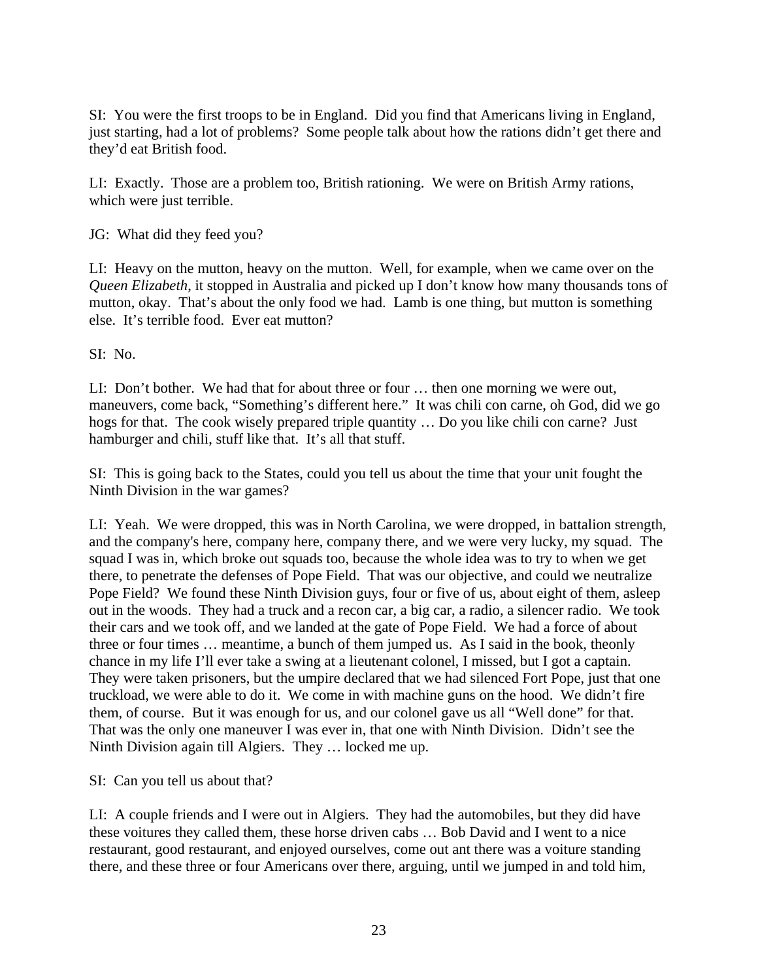SI: You were the first troops to be in England. Did you find that Americans living in England, just starting, had a lot of problems? Some people talk about how the rations didn't get there and they'd eat British food.

LI: Exactly. Those are a problem too, British rationing. We were on British Army rations, which were just terrible.

JG: What did they feed you?

LI: Heavy on the mutton, heavy on the mutton. Well, for example, when we came over on the *Queen Elizabeth*, it stopped in Australia and picked up I don't know how many thousands tons of mutton, okay. That's about the only food we had. Lamb is one thing, but mutton is something else. It's terrible food. Ever eat mutton?

SI: No.

LI: Don't bother. We had that for about three or four … then one morning we were out, maneuvers, come back, "Something's different here." It was chili con carne, oh God, did we go hogs for that. The cook wisely prepared triple quantity … Do you like chili con carne? Just hamburger and chili, stuff like that. It's all that stuff.

SI: This is going back to the States, could you tell us about the time that your unit fought the Ninth Division in the war games?

LI: Yeah. We were dropped, this was in North Carolina, we were dropped, in battalion strength, and the company's here, company here, company there, and we were very lucky, my squad. The squad I was in, which broke out squads too, because the whole idea was to try to when we get there, to penetrate the defenses of Pope Field. That was our objective, and could we neutralize Pope Field? We found these Ninth Division guys, four or five of us, about eight of them, asleep out in the woods. They had a truck and a recon car, a big car, a radio, a silencer radio. We took their cars and we took off, and we landed at the gate of Pope Field. We had a force of about three or four times … meantime, a bunch of them jumped us. As I said in the book, theonly chance in my life I'll ever take a swing at a lieutenant colonel, I missed, but I got a captain. They were taken prisoners, but the umpire declared that we had silenced Fort Pope, just that one truckload, we were able to do it. We come in with machine guns on the hood. We didn't fire them, of course. But it was enough for us, and our colonel gave us all "Well done" for that. That was the only one maneuver I was ever in, that one with Ninth Division. Didn't see the Ninth Division again till Algiers. They … locked me up.

SI: Can you tell us about that?

LI: A couple friends and I were out in Algiers. They had the automobiles, but they did have these voitures they called them, these horse driven cabs … Bob David and I went to a nice restaurant, good restaurant, and enjoyed ourselves, come out ant there was a voiture standing there, and these three or four Americans over there, arguing, until we jumped in and told him,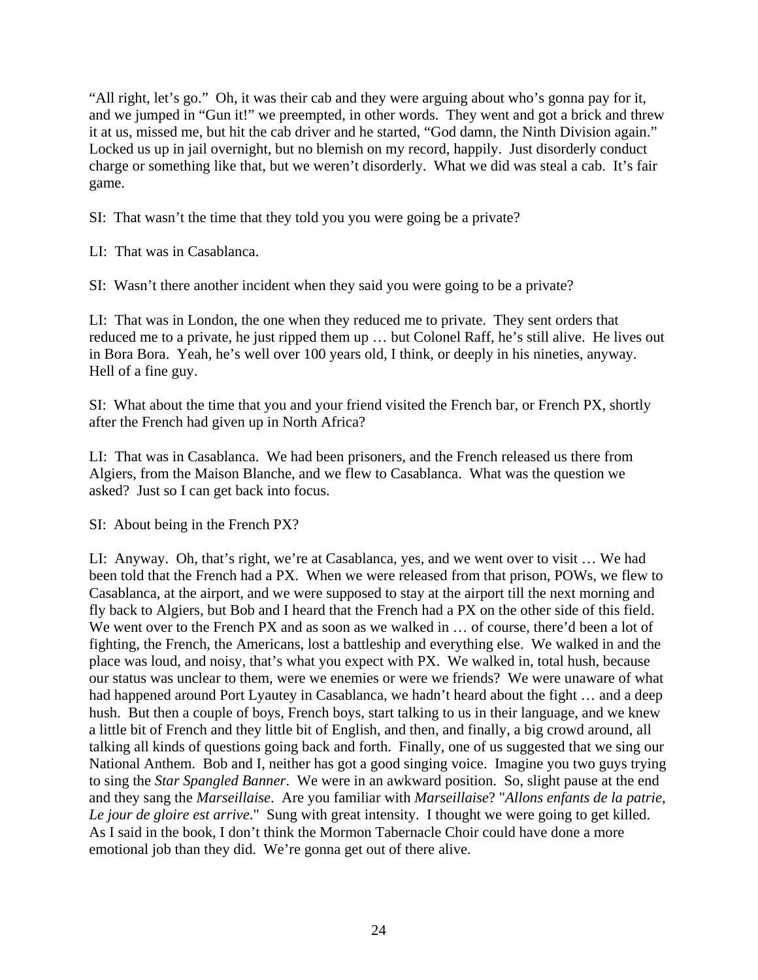"All right, let's go." Oh, it was their cab and they were arguing about who's gonna pay for it, and we jumped in "Gun it!" we preempted, in other words. They went and got a brick and threw it at us, missed me, but hit the cab driver and he started, "God damn, the Ninth Division again." Locked us up in jail overnight, but no blemish on my record, happily. Just disorderly conduct charge or something like that, but we weren't disorderly. What we did was steal a cab. It's fair game.

SI: That wasn't the time that they told you you were going be a private?

LI: That was in Casablanca.

SI: Wasn't there another incident when they said you were going to be a private?

LI: That was in London, the one when they reduced me to private. They sent orders that reduced me to a private, he just ripped them up … but Colonel Raff, he's still alive. He lives out in Bora Bora. Yeah, he's well over 100 years old, I think, or deeply in his nineties, anyway. Hell of a fine guy.

SI: What about the time that you and your friend visited the French bar, or French PX, shortly after the French had given up in North Africa?

LI: That was in Casablanca. We had been prisoners, and the French released us there from Algiers, from the Maison Blanche, and we flew to Casablanca. What was the question we asked? Just so I can get back into focus.

SI: About being in the French PX?

LI: Anyway. Oh, that's right, we're at Casablanca, yes, and we went over to visit … We had been told that the French had a PX. When we were released from that prison, POWs, we flew to Casablanca, at the airport, and we were supposed to stay at the airport till the next morning and fly back to Algiers, but Bob and I heard that the French had a PX on the other side of this field. We went over to the French PX and as soon as we walked in ... of course, there'd been a lot of fighting, the French, the Americans, lost a battleship and everything else. We walked in and the place was loud, and noisy, that's what you expect with PX. We walked in, total hush, because our status was unclear to them, were we enemies or were we friends? We were unaware of what had happened around Port Lyautey in Casablanca, we hadn't heard about the fight … and a deep hush. But then a couple of boys, French boys, start talking to us in their language, and we knew a little bit of French and they little bit of English, and then, and finally, a big crowd around, all talking all kinds of questions going back and forth. Finally, one of us suggested that we sing our National Anthem. Bob and I, neither has got a good singing voice. Imagine you two guys trying to sing the *Star Spangled Banner*. We were in an awkward position. So, slight pause at the end and they sang the *Marseillaise*. Are you familiar with *Marseillaise*? "*Allons enfants de la patrie, Le jour de gloire est arrive*." Sung with great intensity. I thought we were going to get killed. As I said in the book, I don't think the Mormon Tabernacle Choir could have done a more emotional job than they did. We're gonna get out of there alive.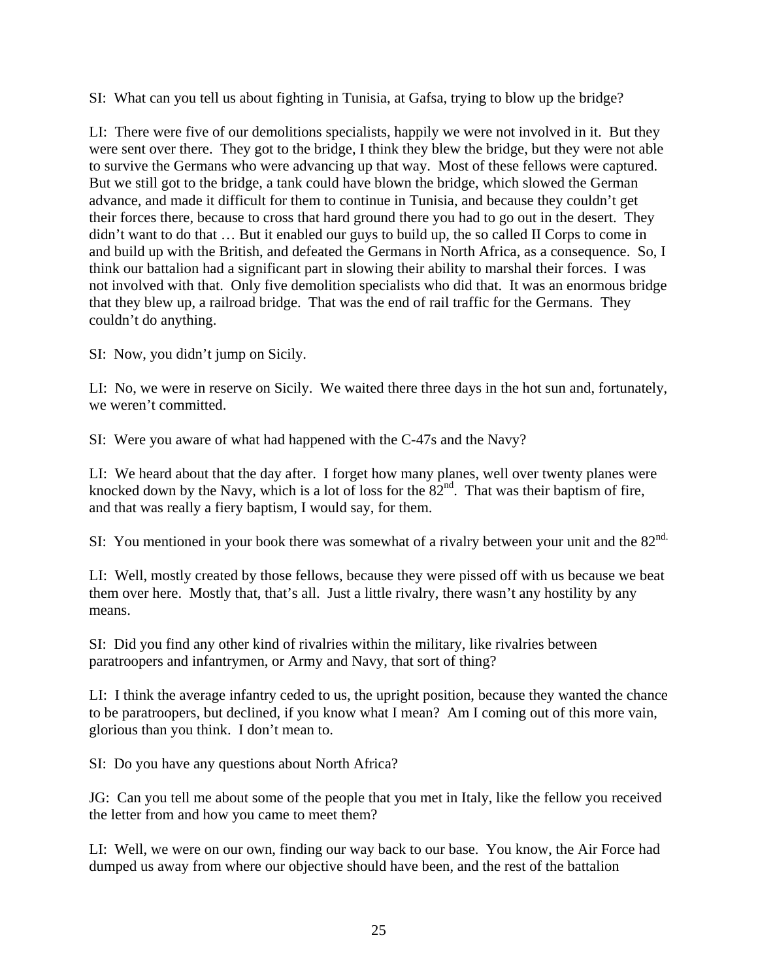SI: What can you tell us about fighting in Tunisia, at Gafsa, trying to blow up the bridge?

LI: There were five of our demolitions specialists, happily we were not involved in it. But they were sent over there. They got to the bridge, I think they blew the bridge, but they were not able to survive the Germans who were advancing up that way. Most of these fellows were captured. But we still got to the bridge, a tank could have blown the bridge, which slowed the German advance, and made it difficult for them to continue in Tunisia, and because they couldn't get their forces there, because to cross that hard ground there you had to go out in the desert. They didn't want to do that … But it enabled our guys to build up, the so called II Corps to come in and build up with the British, and defeated the Germans in North Africa, as a consequence. So, I think our battalion had a significant part in slowing their ability to marshal their forces. I was not involved with that. Only five demolition specialists who did that. It was an enormous bridge that they blew up, a railroad bridge. That was the end of rail traffic for the Germans. They couldn't do anything.

SI: Now, you didn't jump on Sicily.

LI: No, we were in reserve on Sicily. We waited there three days in the hot sun and, fortunately, we weren't committed.

SI: Were you aware of what had happened with the C-47s and the Navy?

LI: We heard about that the day after. I forget how many planes, well over twenty planes were knocked down by the Navy, which is a lot of loss for the  $82<sup>nd</sup>$ . That was their baptism of fire, and that was really a fiery baptism, I would say, for them.

SI: You mentioned in your book there was somewhat of a rivalry between your unit and the 82<sup>nd.</sup>

LI: Well, mostly created by those fellows, because they were pissed off with us because we beat them over here. Mostly that, that's all. Just a little rivalry, there wasn't any hostility by any means.

SI: Did you find any other kind of rivalries within the military, like rivalries between paratroopers and infantrymen, or Army and Navy, that sort of thing?

LI: I think the average infantry ceded to us, the upright position, because they wanted the chance to be paratroopers, but declined, if you know what I mean? Am I coming out of this more vain, glorious than you think. I don't mean to.

SI: Do you have any questions about North Africa?

JG: Can you tell me about some of the people that you met in Italy, like the fellow you received the letter from and how you came to meet them?

LI: Well, we were on our own, finding our way back to our base. You know, the Air Force had dumped us away from where our objective should have been, and the rest of the battalion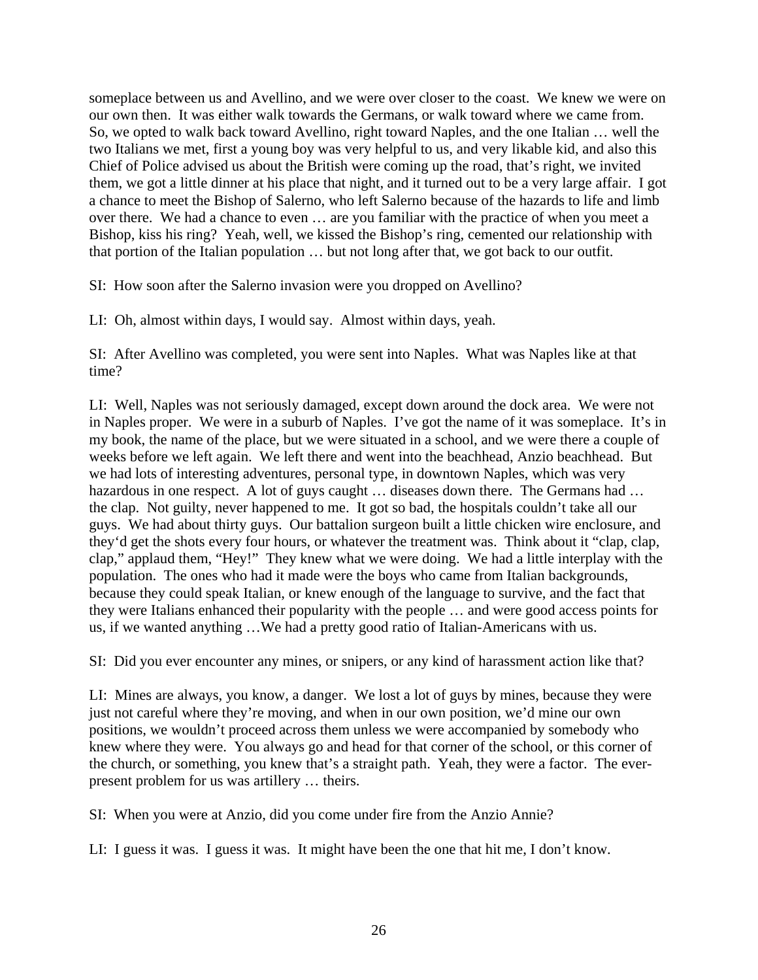someplace between us and Avellino, and we were over closer to the coast. We knew we were on our own then. It was either walk towards the Germans, or walk toward where we came from. So, we opted to walk back toward Avellino, right toward Naples, and the one Italian … well the two Italians we met, first a young boy was very helpful to us, and very likable kid, and also this Chief of Police advised us about the British were coming up the road, that's right, we invited them, we got a little dinner at his place that night, and it turned out to be a very large affair. I got a chance to meet the Bishop of Salerno, who left Salerno because of the hazards to life and limb over there. We had a chance to even … are you familiar with the practice of when you meet a Bishop, kiss his ring? Yeah, well, we kissed the Bishop's ring, cemented our relationship with that portion of the Italian population … but not long after that, we got back to our outfit.

SI: How soon after the Salerno invasion were you dropped on Avellino?

LI: Oh, almost within days, I would say. Almost within days, yeah.

SI: After Avellino was completed, you were sent into Naples. What was Naples like at that time?

LI: Well, Naples was not seriously damaged, except down around the dock area. We were not in Naples proper. We were in a suburb of Naples. I've got the name of it was someplace. It's in my book, the name of the place, but we were situated in a school, and we were there a couple of weeks before we left again. We left there and went into the beachhead, Anzio beachhead. But we had lots of interesting adventures, personal type, in downtown Naples, which was very hazardous in one respect. A lot of guys caught ... diseases down there. The Germans had ... the clap. Not guilty, never happened to me. It got so bad, the hospitals couldn't take all our guys. We had about thirty guys. Our battalion surgeon built a little chicken wire enclosure, and they'd get the shots every four hours, or whatever the treatment was. Think about it "clap, clap, clap," applaud them, "Hey!" They knew what we were doing. We had a little interplay with the population. The ones who had it made were the boys who came from Italian backgrounds, because they could speak Italian, or knew enough of the language to survive, and the fact that they were Italians enhanced their popularity with the people … and were good access points for us, if we wanted anything …We had a pretty good ratio of Italian-Americans with us.

SI: Did you ever encounter any mines, or snipers, or any kind of harassment action like that?

LI: Mines are always, you know, a danger. We lost a lot of guys by mines, because they were just not careful where they're moving, and when in our own position, we'd mine our own positions, we wouldn't proceed across them unless we were accompanied by somebody who knew where they were. You always go and head for that corner of the school, or this corner of the church, or something, you knew that's a straight path. Yeah, they were a factor. The everpresent problem for us was artillery … theirs.

SI: When you were at Anzio, did you come under fire from the Anzio Annie?

LI: I guess it was. I guess it was. It might have been the one that hit me, I don't know.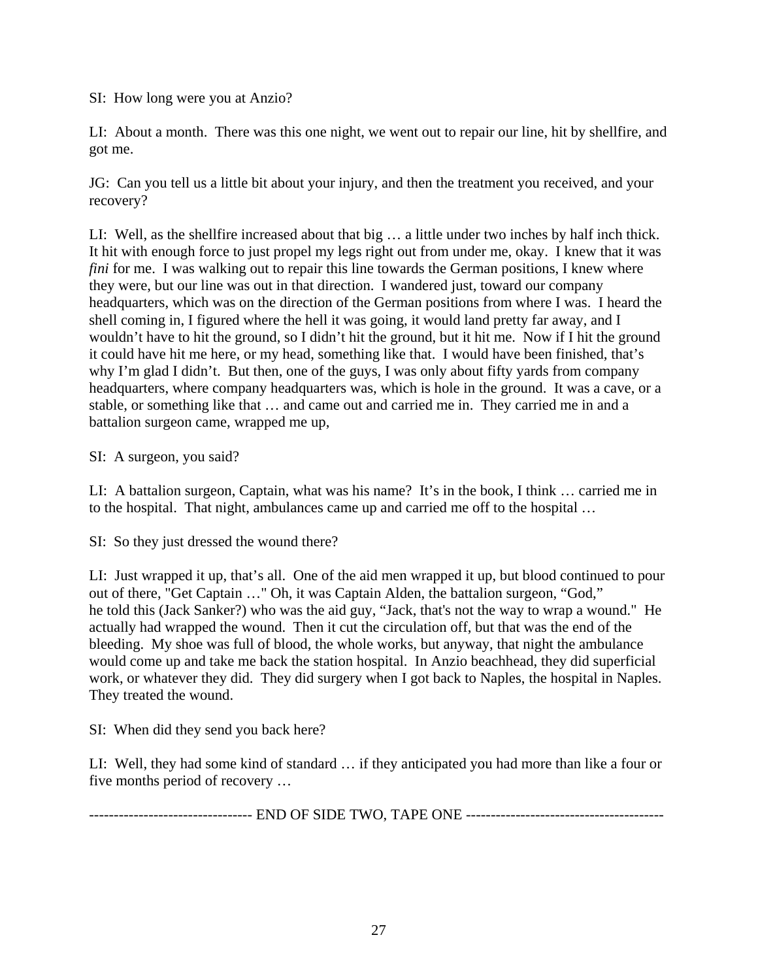SI: How long were you at Anzio?

LI: About a month. There was this one night, we went out to repair our line, hit by shellfire, and got me.

JG: Can you tell us a little bit about your injury, and then the treatment you received, and your recovery?

LI: Well, as the shellfire increased about that big … a little under two inches by half inch thick. It hit with enough force to just propel my legs right out from under me, okay. I knew that it was *fini* for me. I was walking out to repair this line towards the German positions, I knew where they were, but our line was out in that direction. I wandered just, toward our company headquarters, which was on the direction of the German positions from where I was. I heard the shell coming in, I figured where the hell it was going, it would land pretty far away, and I wouldn't have to hit the ground, so I didn't hit the ground, but it hit me. Now if I hit the ground it could have hit me here, or my head, something like that. I would have been finished, that's why I'm glad I didn't. But then, one of the guys, I was only about fifty yards from company headquarters, where company headquarters was, which is hole in the ground. It was a cave, or a stable, or something like that … and came out and carried me in. They carried me in and a battalion surgeon came, wrapped me up,

SI: A surgeon, you said?

LI: A battalion surgeon, Captain, what was his name? It's in the book, I think … carried me in to the hospital. That night, ambulances came up and carried me off to the hospital …

SI: So they just dressed the wound there?

LI: Just wrapped it up, that's all. One of the aid men wrapped it up, but blood continued to pour out of there, "Get Captain …" Oh, it was Captain Alden, the battalion surgeon, "God," he told this (Jack Sanker?) who was the aid guy, "Jack, that's not the way to wrap a wound." He actually had wrapped the wound. Then it cut the circulation off, but that was the end of the bleeding. My shoe was full of blood, the whole works, but anyway, that night the ambulance would come up and take me back the station hospital. In Anzio beachhead, they did superficial work, or whatever they did. They did surgery when I got back to Naples, the hospital in Naples. They treated the wound.

SI: When did they send you back here?

LI: Well, they had some kind of standard … if they anticipated you had more than like a four or five months period of recovery …

--------------------------------- END OF SIDE TWO, TAPE ONE ----------------------------------------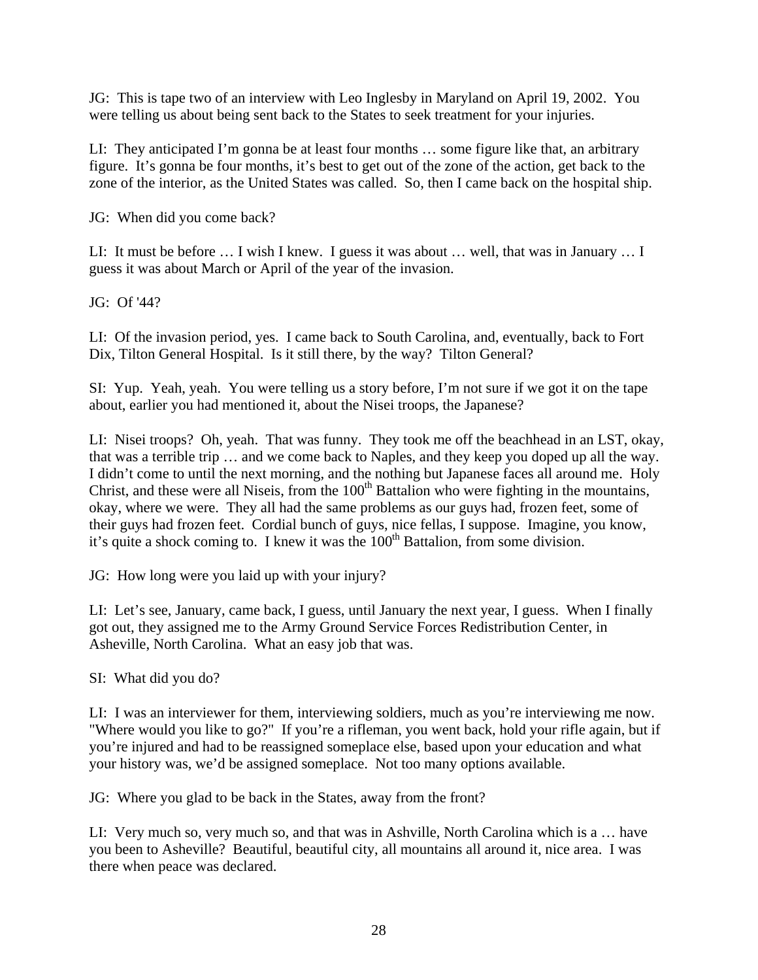JG: This is tape two of an interview with Leo Inglesby in Maryland on April 19, 2002. You were telling us about being sent back to the States to seek treatment for your injuries.

LI: They anticipated I'm gonna be at least four months … some figure like that, an arbitrary figure. It's gonna be four months, it's best to get out of the zone of the action, get back to the zone of the interior, as the United States was called. So, then I came back on the hospital ship.

JG: When did you come back?

LI: It must be before … I wish I knew. I guess it was about … well, that was in January … I guess it was about March or April of the year of the invasion.

JG: Of '44?

LI: Of the invasion period, yes. I came back to South Carolina, and, eventually, back to Fort Dix, Tilton General Hospital. Is it still there, by the way? Tilton General?

SI: Yup. Yeah, yeah. You were telling us a story before, I'm not sure if we got it on the tape about, earlier you had mentioned it, about the Nisei troops, the Japanese?

LI: Nisei troops? Oh, yeah. That was funny. They took me off the beachhead in an LST, okay, that was a terrible trip … and we come back to Naples, and they keep you doped up all the way. I didn't come to until the next morning, and the nothing but Japanese faces all around me. Holy Christ, and these were all Niseis, from the  $100<sup>th</sup>$  Battalion who were fighting in the mountains, okay, where we were. They all had the same problems as our guys had, frozen feet, some of their guys had frozen feet. Cordial bunch of guys, nice fellas, I suppose. Imagine, you know, it's quite a shock coming to. I knew it was the  $100<sup>th</sup>$  Battalion, from some division.

JG: How long were you laid up with your injury?

LI: Let's see, January, came back, I guess, until January the next year, I guess. When I finally got out, they assigned me to the Army Ground Service Forces Redistribution Center, in Asheville, North Carolina. What an easy job that was.

SI: What did you do?

LI: I was an interviewer for them, interviewing soldiers, much as you're interviewing me now. "Where would you like to go?" If you're a rifleman, you went back, hold your rifle again, but if you're injured and had to be reassigned someplace else, based upon your education and what your history was, we'd be assigned someplace. Not too many options available.

JG: Where you glad to be back in the States, away from the front?

LI: Very much so, very much so, and that was in Ashville, North Carolina which is a … have you been to Asheville? Beautiful, beautiful city, all mountains all around it, nice area. I was there when peace was declared.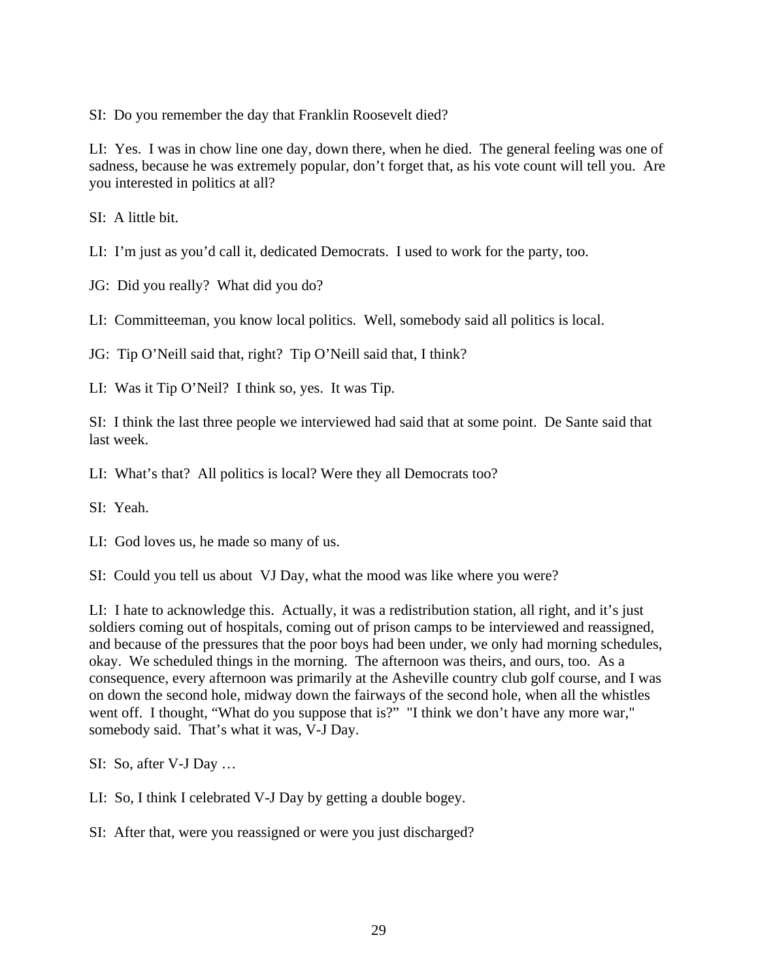SI: Do you remember the day that Franklin Roosevelt died?

LI: Yes. I was in chow line one day, down there, when he died. The general feeling was one of sadness, because he was extremely popular, don't forget that, as his vote count will tell you. Are you interested in politics at all?

SI: A little bit.

LI: I'm just as you'd call it, dedicated Democrats. I used to work for the party, too.

JG: Did you really? What did you do?

LI: Committeeman, you know local politics. Well, somebody said all politics is local.

JG: Tip O'Neill said that, right? Tip O'Neill said that, I think?

LI: Was it Tip O'Neil? I think so, yes. It was Tip.

SI: I think the last three people we interviewed had said that at some point. De Sante said that last week.

LI: What's that? All politics is local? Were they all Democrats too?

SI: Yeah.

LI: God loves us, he made so many of us.

SI: Could you tell us about VJ Day, what the mood was like where you were?

LI: I hate to acknowledge this. Actually, it was a redistribution station, all right, and it's just soldiers coming out of hospitals, coming out of prison camps to be interviewed and reassigned, and because of the pressures that the poor boys had been under, we only had morning schedules, okay. We scheduled things in the morning. The afternoon was theirs, and ours, too. As a consequence, every afternoon was primarily at the Asheville country club golf course, and I was on down the second hole, midway down the fairways of the second hole, when all the whistles went off. I thought, "What do you suppose that is?" "I think we don't have any more war," somebody said. That's what it was, V-J Day.

SI: So, after V-J Day …

LI: So, I think I celebrated V-J Day by getting a double bogey.

SI: After that, were you reassigned or were you just discharged?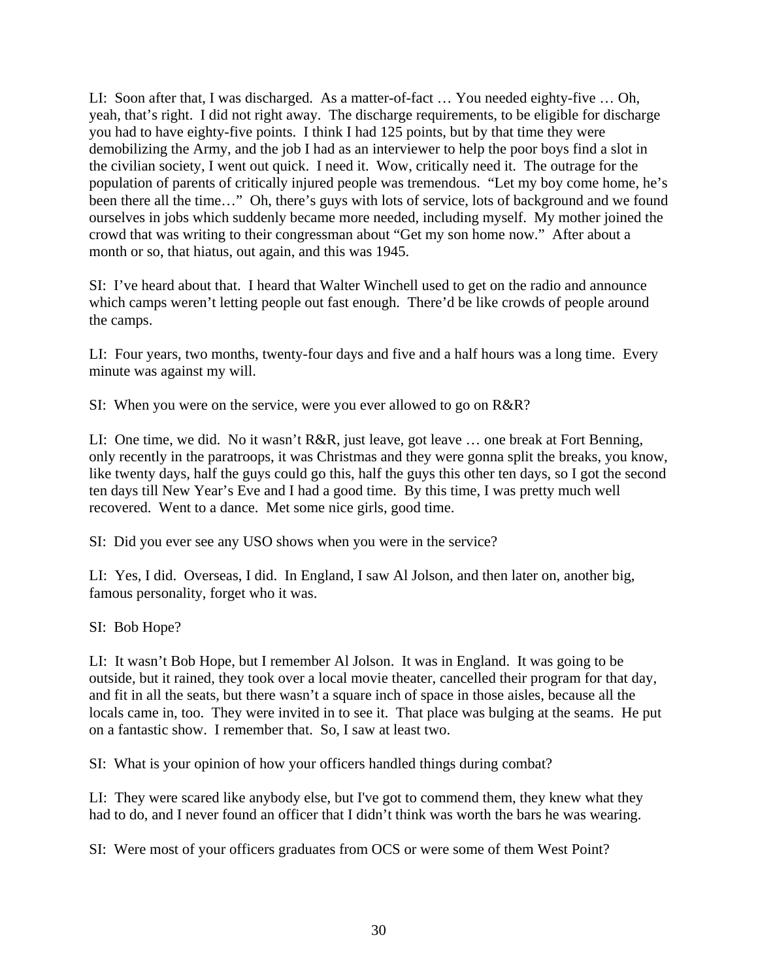LI: Soon after that, I was discharged. As a matter-of-fact … You needed eighty-five … Oh, yeah, that's right. I did not right away. The discharge requirements, to be eligible for discharge you had to have eighty-five points. I think I had 125 points, but by that time they were demobilizing the Army, and the job I had as an interviewer to help the poor boys find a slot in the civilian society, I went out quick. I need it. Wow, critically need it. The outrage for the population of parents of critically injured people was tremendous. "Let my boy come home, he's been there all the time…" Oh, there's guys with lots of service, lots of background and we found ourselves in jobs which suddenly became more needed, including myself. My mother joined the crowd that was writing to their congressman about "Get my son home now." After about a month or so, that hiatus, out again, and this was 1945.

SI: I've heard about that. I heard that Walter Winchell used to get on the radio and announce which camps weren't letting people out fast enough. There'd be like crowds of people around the camps.

LI: Four years, two months, twenty-four days and five and a half hours was a long time. Every minute was against my will.

SI: When you were on the service, were you ever allowed to go on R&R?

LI: One time, we did. No it wasn't R&R, just leave, got leave … one break at Fort Benning, only recently in the paratroops, it was Christmas and they were gonna split the breaks, you know, like twenty days, half the guys could go this, half the guys this other ten days, so I got the second ten days till New Year's Eve and I had a good time. By this time, I was pretty much well recovered. Went to a dance. Met some nice girls, good time.

SI: Did you ever see any USO shows when you were in the service?

LI: Yes, I did. Overseas, I did. In England, I saw Al Jolson, and then later on, another big, famous personality, forget who it was.

SI: Bob Hope?

LI: It wasn't Bob Hope, but I remember Al Jolson. It was in England. It was going to be outside, but it rained, they took over a local movie theater, cancelled their program for that day, and fit in all the seats, but there wasn't a square inch of space in those aisles, because all the locals came in, too. They were invited in to see it. That place was bulging at the seams. He put on a fantastic show. I remember that. So, I saw at least two.

SI: What is your opinion of how your officers handled things during combat?

LI: They were scared like anybody else, but I've got to commend them, they knew what they had to do, and I never found an officer that I didn't think was worth the bars he was wearing.

SI: Were most of your officers graduates from OCS or were some of them West Point?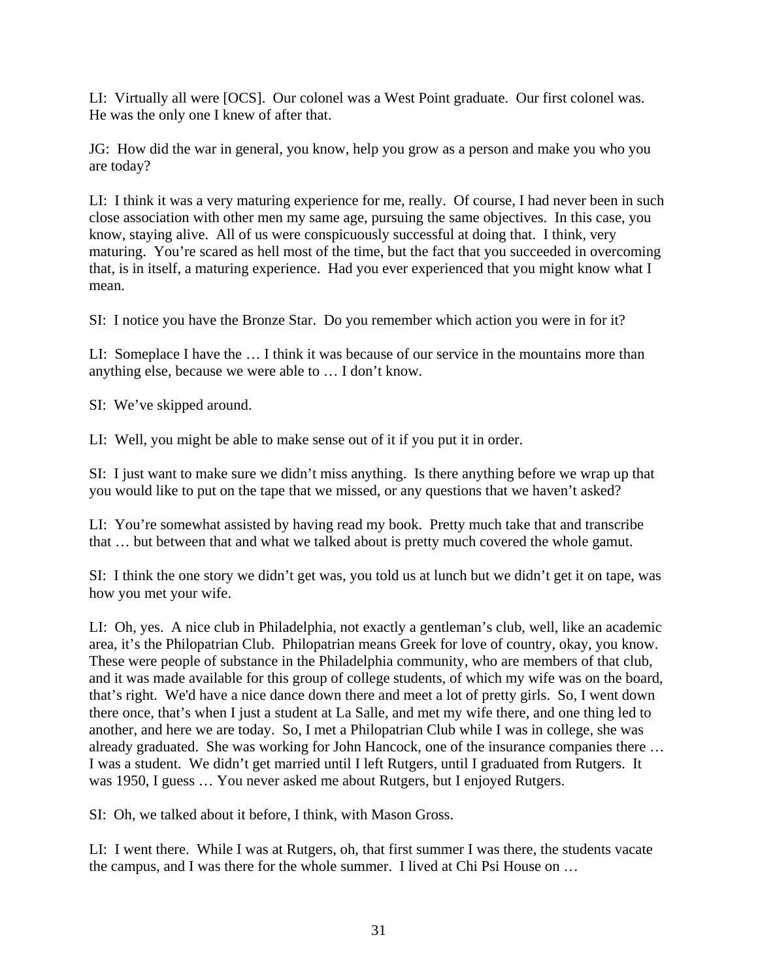LI: Virtually all were [OCS]. Our colonel was a West Point graduate. Our first colonel was. He was the only one I knew of after that.

JG: How did the war in general, you know, help you grow as a person and make you who you are today?

LI: I think it was a very maturing experience for me, really. Of course, I had never been in such close association with other men my same age, pursuing the same objectives. In this case, you know, staying alive. All of us were conspicuously successful at doing that. I think, very maturing. You're scared as hell most of the time, but the fact that you succeeded in overcoming that, is in itself, a maturing experience. Had you ever experienced that you might know what I mean.

SI: I notice you have the Bronze Star. Do you remember which action you were in for it?

LI: Someplace I have the … I think it was because of our service in the mountains more than anything else, because we were able to … I don't know.

SI: We've skipped around.

LI: Well, you might be able to make sense out of it if you put it in order.

SI: I just want to make sure we didn't miss anything. Is there anything before we wrap up that you would like to put on the tape that we missed, or any questions that we haven't asked?

LI: You're somewhat assisted by having read my book. Pretty much take that and transcribe that … but between that and what we talked about is pretty much covered the whole gamut.

SI: I think the one story we didn't get was, you told us at lunch but we didn't get it on tape, was how you met your wife.

LI: Oh, yes. A nice club in Philadelphia, not exactly a gentleman's club, well, like an academic area, it's the Philopatrian Club. Philopatrian means Greek for love of country, okay, you know. These were people of substance in the Philadelphia community, who are members of that club, and it was made available for this group of college students, of which my wife was on the board, that's right. We'd have a nice dance down there and meet a lot of pretty girls. So, I went down there once, that's when I just a student at La Salle, and met my wife there, and one thing led to another, and here we are today. So, I met a Philopatrian Club while I was in college, she was already graduated. She was working for John Hancock, one of the insurance companies there … I was a student. We didn't get married until I left Rutgers, until I graduated from Rutgers. It was 1950, I guess … You never asked me about Rutgers, but I enjoyed Rutgers.

SI: Oh, we talked about it before, I think, with Mason Gross.

LI: I went there. While I was at Rutgers, oh, that first summer I was there, the students vacate the campus, and I was there for the whole summer. I lived at Chi Psi House on …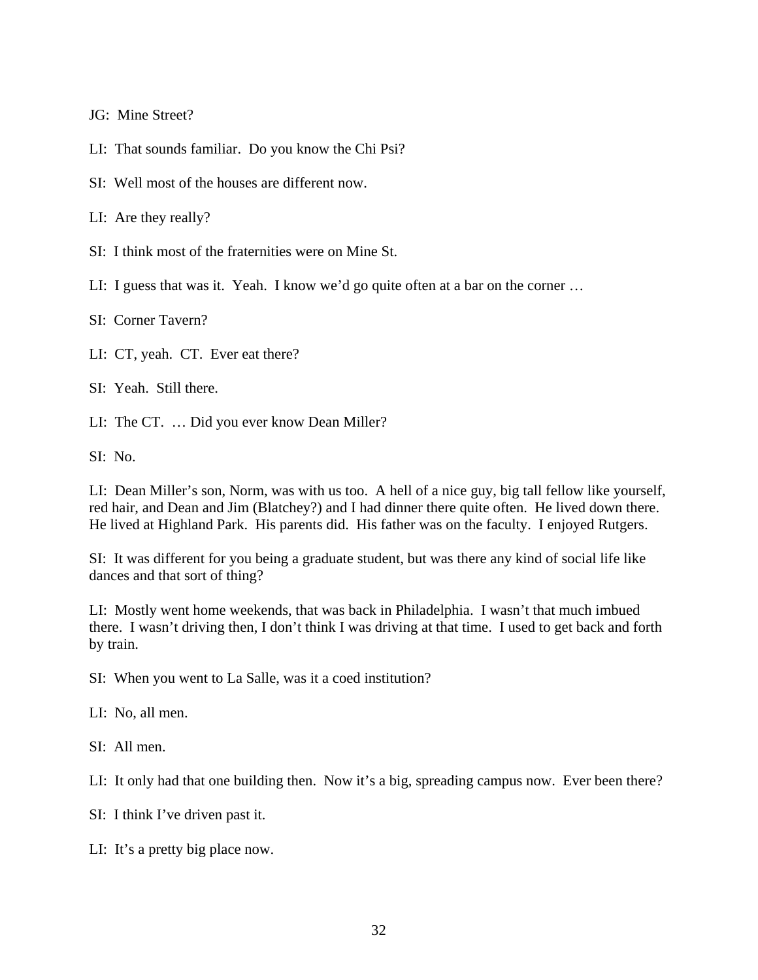JG: Mine Street?

LI: That sounds familiar. Do you know the Chi Psi?

SI: Well most of the houses are different now.

LI: Are they really?

SI: I think most of the fraternities were on Mine St.

LI: I guess that was it. Yeah. I know we'd go quite often at a bar on the corner ...

SI: Corner Tavern?

LI: CT, yeah. CT. Ever eat there?

SI: Yeah. Still there.

LI: The CT. … Did you ever know Dean Miller?

SI: No.

LI: Dean Miller's son, Norm, was with us too. A hell of a nice guy, big tall fellow like yourself, red hair, and Dean and Jim (Blatchey?) and I had dinner there quite often. He lived down there. He lived at Highland Park. His parents did. His father was on the faculty. I enjoyed Rutgers.

SI: It was different for you being a graduate student, but was there any kind of social life like dances and that sort of thing?

LI: Mostly went home weekends, that was back in Philadelphia. I wasn't that much imbued there. I wasn't driving then, I don't think I was driving at that time. I used to get back and forth by train.

SI: When you went to La Salle, was it a coed institution?

LI: No, all men.

SI: All men.

LI: It only had that one building then. Now it's a big, spreading campus now. Ever been there?

SI: I think I've driven past it.

LI: It's a pretty big place now.